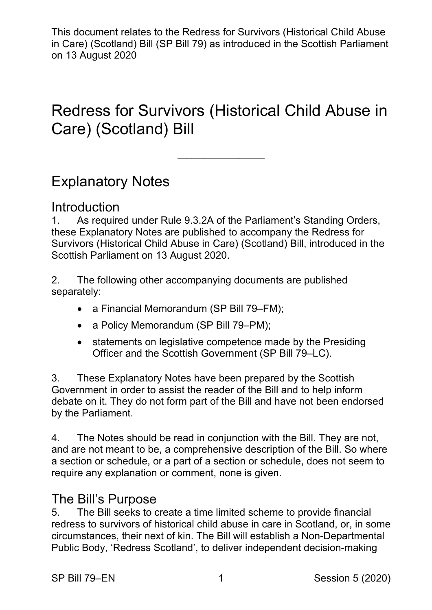# Redress for Survivors (Historical Child Abuse in Care) (Scotland) Bill

——————————

# Explanatory Notes

# Introduction

1. As required under Rule 9.3.2A of the Parliament's Standing Orders, these Explanatory Notes are published to accompany the Redress for Survivors (Historical Child Abuse in Care) (Scotland) Bill, introduced in the Scottish Parliament on 13 August 2020.

2. The following other accompanying documents are published separately:

- a Financial Memorandum (SP Bill 79–FM):
- a Policy Memorandum (SP Bill 79–PM);
- statements on legislative competence made by the Presiding Officer and the Scottish Government (SP Bill 79–LC).

3. These Explanatory Notes have been prepared by the Scottish Government in order to assist the reader of the Bill and to help inform debate on it. They do not form part of the Bill and have not been endorsed by the Parliament.

4. The Notes should be read in conjunction with the Bill. They are not, and are not meant to be, a comprehensive description of the Bill. So where a section or schedule, or a part of a section or schedule, does not seem to require any explanation or comment, none is given.

# The Bill's Purpose

5. The Bill seeks to create a time limited scheme to provide financial redress to survivors of historical child abuse in care in Scotland, or, in some circumstances, their next of kin. The Bill will establish a Non-Departmental Public Body, 'Redress Scotland', to deliver independent decision-making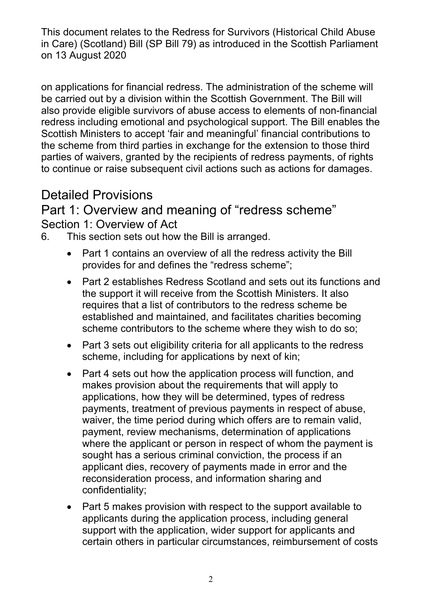on applications for financial redress. The administration of the scheme will be carried out by a division within the Scottish Government. The Bill will also provide eligible survivors of abuse access to elements of non-financial redress including emotional and psychological support. The Bill enables the Scottish Ministers to accept 'fair and meaningful' financial contributions to the scheme from third parties in exchange for the extension to those third parties of waivers, granted by the recipients of redress payments, of rights to continue or raise subsequent civil actions such as actions for damages.

# Detailed Provisions

## Part 1: Overview and meaning of "redress scheme" Section 1: Overview of Act

- 6. This section sets out how the Bill is arranged.
	- Part 1 contains an overview of all the redress activity the Bill provides for and defines the "redress scheme";
	- Part 2 establishes Redress Scotland and sets out its functions and the support it will receive from the Scottish Ministers. It also requires that a list of contributors to the redress scheme be established and maintained, and facilitates charities becoming scheme contributors to the scheme where they wish to do so;
	- Part 3 sets out eligibility criteria for all applicants to the redress scheme, including for applications by next of kin;
	- Part 4 sets out how the application process will function, and makes provision about the requirements that will apply to applications, how they will be determined, types of redress payments, treatment of previous payments in respect of abuse, waiver, the time period during which offers are to remain valid, payment, review mechanisms, determination of applications where the applicant or person in respect of whom the payment is sought has a serious criminal conviction, the process if an applicant dies, recovery of payments made in error and the reconsideration process, and information sharing and confidentiality;
	- Part 5 makes provision with respect to the support available to applicants during the application process, including general support with the application, wider support for applicants and certain others in particular circumstances, reimbursement of costs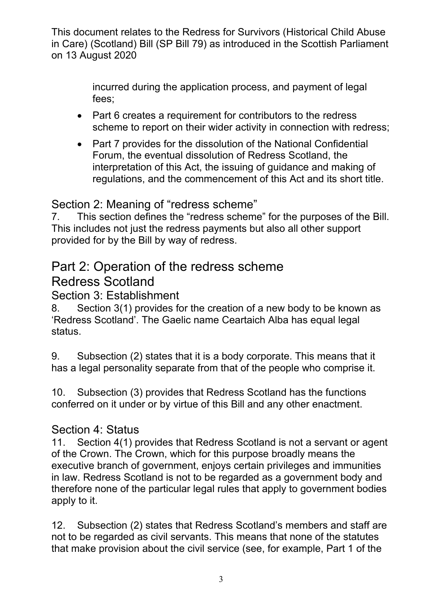> incurred during the application process, and payment of legal fees;

- Part 6 creates a requirement for contributors to the redress scheme to report on their wider activity in connection with redress;
- Part 7 provides for the dissolution of the National Confidential Forum, the eventual dissolution of Redress Scotland, the interpretation of this Act, the issuing of guidance and making of regulations, and the commencement of this Act and its short title.

### Section 2: Meaning of "redress scheme"

7. This section defines the "redress scheme" for the purposes of the Bill. This includes not just the redress payments but also all other support provided for by the Bill by way of redress.

# Part 2: Operation of the redress scheme Redress Scotland

### Section 3: Establishment

8. Section 3(1) provides for the creation of a new body to be known as 'Redress Scotland'. The Gaelic name Ceartaich Alba has equal legal status.

9. Subsection (2) states that it is a body corporate. This means that it has a legal personality separate from that of the people who comprise it.

10. Subsection (3) provides that Redress Scotland has the functions conferred on it under or by virtue of this Bill and any other enactment.

### Section 4: Status

11. Section 4(1) provides that Redress Scotland is not a servant or agent of the Crown. The Crown, which for this purpose broadly means the executive branch of government, enjoys certain privileges and immunities in law. Redress Scotland is not to be regarded as a government body and therefore none of the particular legal rules that apply to government bodies apply to it.

12. Subsection (2) states that Redress Scotland's members and staff are not to be regarded as civil servants. This means that none of the statutes that make provision about the civil service (see, for example, Part 1 of the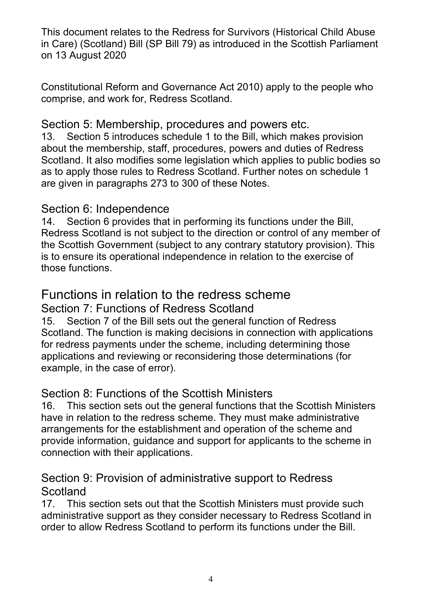Constitutional Reform and Governance Act 2010) apply to the people who comprise, and work for, Redress Scotland.

#### Section 5: Membership, procedures and powers etc.

13. Section 5 introduces schedule 1 to the Bill, which makes provision about the membership, staff, procedures, powers and duties of Redress Scotland. It also modifies some legislation which applies to public bodies so as to apply those rules to Redress Scotland. Further notes on schedule 1 are given in paragraphs 273 to 300 of these Notes.

#### Section 6: Independence

14. Section 6 provides that in performing its functions under the Bill, Redress Scotland is not subject to the direction or control of any member of the Scottish Government (subject to any contrary statutory provision). This is to ensure its operational independence in relation to the exercise of those functions.

# Functions in relation to the redress scheme

#### Section 7: Functions of Redress Scotland

15. Section 7 of the Bill sets out the general function of Redress Scotland. The function is making decisions in connection with applications for redress payments under the scheme, including determining those applications and reviewing or reconsidering those determinations (for example, in the case of error).

### Section 8: Functions of the Scottish Ministers

16. This section sets out the general functions that the Scottish Ministers have in relation to the redress scheme. They must make administrative arrangements for the establishment and operation of the scheme and provide information, guidance and support for applicants to the scheme in connection with their applications.

### Section 9: Provision of administrative support to Redress **Scotland**

17. This section sets out that the Scottish Ministers must provide such administrative support as they consider necessary to Redress Scotland in order to allow Redress Scotland to perform its functions under the Bill.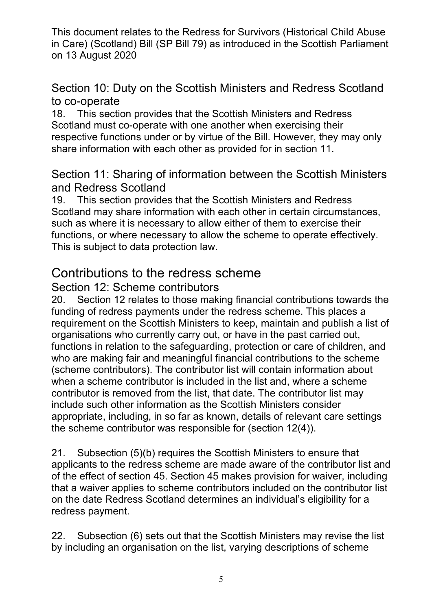### Section 10: Duty on the Scottish Ministers and Redress Scotland to co-operate

18. This section provides that the Scottish Ministers and Redress Scotland must co-operate with one another when exercising their respective functions under or by virtue of the Bill. However, they may only share information with each other as provided for in section 11.

### Section 11: Sharing of information between the Scottish Ministers and Redress Scotland

19. This section provides that the Scottish Ministers and Redress Scotland may share information with each other in certain circumstances, such as where it is necessary to allow either of them to exercise their functions, or where necessary to allow the scheme to operate effectively. This is subject to data protection law.

# Contributions to the redress scheme

### Section 12: Scheme contributors

20. Section 12 relates to those making financial contributions towards the funding of redress payments under the redress scheme. This places a requirement on the Scottish Ministers to keep, maintain and publish a list of organisations who currently carry out, or have in the past carried out, functions in relation to the safeguarding, protection or care of children, and who are making fair and meaningful financial contributions to the scheme (scheme contributors). The contributor list will contain information about when a scheme contributor is included in the list and, where a scheme contributor is removed from the list, that date. The contributor list may include such other information as the Scottish Ministers consider appropriate, including, in so far as known, details of relevant care settings the scheme contributor was responsible for (section 12(4)).

21. Subsection (5)(b) requires the Scottish Ministers to ensure that applicants to the redress scheme are made aware of the contributor list and of the effect of section 45. Section 45 makes provision for waiver, including that a waiver applies to scheme contributors included on the contributor list on the date Redress Scotland determines an individual's eligibility for a redress payment.

22. Subsection (6) sets out that the Scottish Ministers may revise the list by including an organisation on the list, varying descriptions of scheme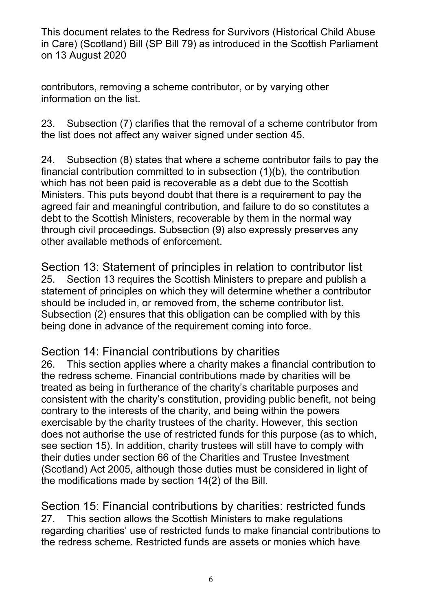contributors, removing a scheme contributor, or by varying other information on the list.

23. Subsection (7) clarifies that the removal of a scheme contributor from the list does not affect any waiver signed under section 45.

24. Subsection (8) states that where a scheme contributor fails to pay the financial contribution committed to in subsection (1)(b), the contribution which has not been paid is recoverable as a debt due to the Scottish Ministers. This puts beyond doubt that there is a requirement to pay the agreed fair and meaningful contribution, and failure to do so constitutes a debt to the Scottish Ministers, recoverable by them in the normal way through civil proceedings. Subsection (9) also expressly preserves any other available methods of enforcement.

Section 13: Statement of principles in relation to contributor list 25. Section 13 requires the Scottish Ministers to prepare and publish a statement of principles on which they will determine whether a contributor should be included in, or removed from, the scheme contributor list. Subsection (2) ensures that this obligation can be complied with by this being done in advance of the requirement coming into force.

### Section 14: Financial contributions by charities

26. This section applies where a charity makes a financial contribution to the redress scheme. Financial contributions made by charities will be treated as being in furtherance of the charity's charitable purposes and consistent with the charity's constitution, providing public benefit, not being contrary to the interests of the charity, and being within the powers exercisable by the charity trustees of the charity. However, this section does not authorise the use of restricted funds for this purpose (as to which, see section 15). In addition, charity trustees will still have to comply with their duties under section 66 of the Charities and Trustee Investment (Scotland) Act 2005, although those duties must be considered in light of the modifications made by section 14(2) of the Bill.

Section 15: Financial contributions by charities: restricted funds 27. This section allows the Scottish Ministers to make regulations regarding charities' use of restricted funds to make financial contributions to the redress scheme. Restricted funds are assets or monies which have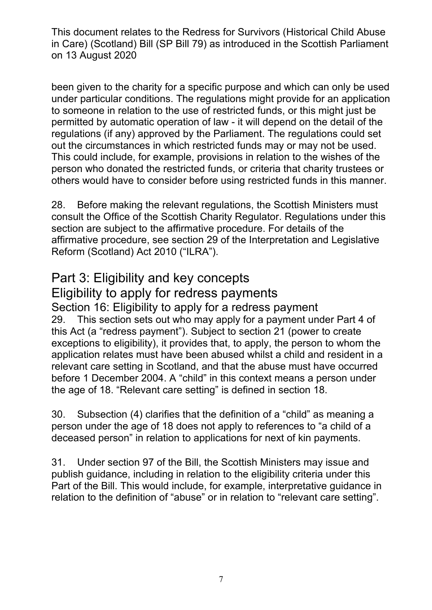been given to the charity for a specific purpose and which can only be used under particular conditions. The regulations might provide for an application to someone in relation to the use of restricted funds, or this might just be permitted by automatic operation of law - it will depend on the detail of the regulations (if any) approved by the Parliament. The regulations could set out the circumstances in which restricted funds may or may not be used. This could include, for example, provisions in relation to the wishes of the person who donated the restricted funds, or criteria that charity trustees or others would have to consider before using restricted funds in this manner.

28. Before making the relevant regulations, the Scottish Ministers must consult the Office of the Scottish Charity Regulator. Regulations under this section are subject to the affirmative procedure. For details of the affirmative procedure, see section 29 of the Interpretation and Legislative Reform (Scotland) Act 2010 ("ILRA").

# Part 3: Eligibility and key concepts

# Eligibility to apply for redress payments

Section 16: Eligibility to apply for a redress payment 29. This section sets out who may apply for a payment under Part 4 of this Act (a "redress payment"). Subject to section 21 (power to create exceptions to eligibility), it provides that, to apply, the person to whom the application relates must have been abused whilst a child and resident in a relevant care setting in Scotland, and that the abuse must have occurred before 1 December 2004. A "child" in this context means a person under the age of 18. "Relevant care setting" is defined in section 18.

30. Subsection (4) clarifies that the definition of a "child" as meaning a person under the age of 18 does not apply to references to "a child of a deceased person" in relation to applications for next of kin payments.

31. Under section 97 of the Bill, the Scottish Ministers may issue and publish guidance, including in relation to the eligibility criteria under this Part of the Bill. This would include, for example, interpretative guidance in relation to the definition of "abuse" or in relation to "relevant care setting".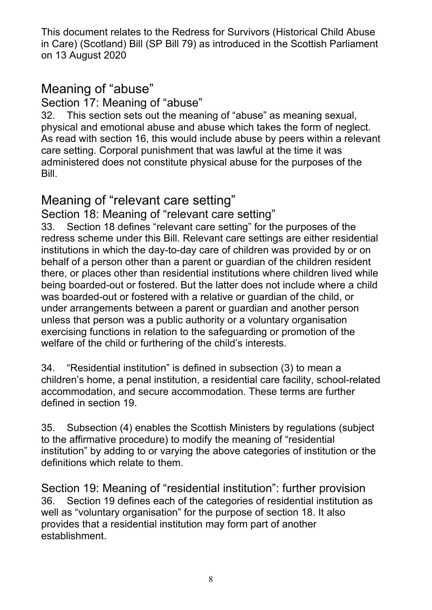# Meaning of "abuse"

### Section 17: Meaning of "abuse"

32. This section sets out the meaning of "abuse" as meaning sexual, physical and emotional abuse and abuse which takes the form of neglect. As read with section 16, this would include abuse by peers within a relevant care setting. Corporal punishment that was lawful at the time it was administered does not constitute physical abuse for the purposes of the Bill.

# Meaning of "relevant care setting"

Section 18: Meaning of "relevant care setting"

33. Section 18 defines "relevant care setting" for the purposes of the redress scheme under this Bill. Relevant care settings are either residential institutions in which the day-to-day care of children was provided by or on behalf of a person other than a parent or guardian of the children resident there, or places other than residential institutions where children lived while being boarded-out or fostered. But the latter does not include where a child was boarded-out or fostered with a relative or guardian of the child, or under arrangements between a parent or guardian and another person unless that person was a public authority or a voluntary organisation exercising functions in relation to the safeguarding or promotion of the welfare of the child or furthering of the child's interests.

34. "Residential institution" is defined in subsection (3) to mean a children's home, a penal institution, a residential care facility, school-related accommodation, and secure accommodation. These terms are further defined in section 19.

35. Subsection (4) enables the Scottish Ministers by regulations (subject to the affirmative procedure) to modify the meaning of "residential institution" by adding to or varying the above categories of institution or the definitions which relate to them.

Section 19: Meaning of "residential institution": further provision 36. Section 19 defines each of the categories of residential institution as well as "voluntary organisation" for the purpose of section 18. It also provides that a residential institution may form part of another establishment.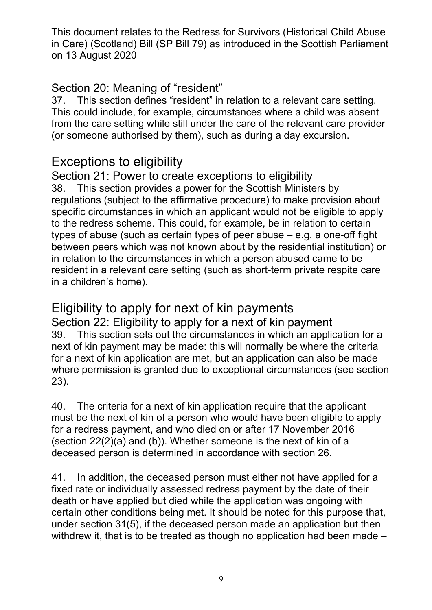### Section 20: Meaning of "resident"

37. This section defines "resident" in relation to a relevant care setting. This could include, for example, circumstances where a child was absent from the care setting while still under the care of the relevant care provider (or someone authorised by them), such as during a day excursion.

# Exceptions to eligibility

Section 21: Power to create exceptions to eligibility 38. This section provides a power for the Scottish Ministers by regulations (subject to the affirmative procedure) to make provision about specific circumstances in which an applicant would not be eligible to apply to the redress scheme. This could, for example, be in relation to certain types of abuse (such as certain types of peer abuse – e.g. a one-off fight between peers which was not known about by the residential institution) or in relation to the circumstances in which a person abused came to be resident in a relevant care setting (such as short-term private respite care in a children's home).

# Eligibility to apply for next of kin payments

Section 22: Eligibility to apply for a next of kin payment 39. This section sets out the circumstances in which an application for a next of kin payment may be made: this will normally be where the criteria for a next of kin application are met, but an application can also be made where permission is granted due to exceptional circumstances (see section 23).

40. The criteria for a next of kin application require that the applicant must be the next of kin of a person who would have been eligible to apply for a redress payment, and who died on or after 17 November 2016 (section 22(2)(a) and (b)). Whether someone is the next of kin of a deceased person is determined in accordance with section 26.

41. In addition, the deceased person must either not have applied for a fixed rate or individually assessed redress payment by the date of their death or have applied but died while the application was ongoing with certain other conditions being met. It should be noted for this purpose that, under section 31(5), if the deceased person made an application but then withdrew it, that is to be treated as though no application had been made –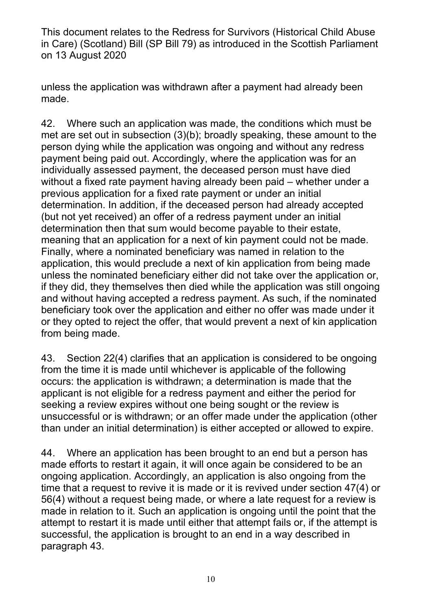unless the application was withdrawn after a payment had already been made.

42. Where such an application was made, the conditions which must be met are set out in subsection (3)(b); broadly speaking, these amount to the person dying while the application was ongoing and without any redress payment being paid out. Accordingly, where the application was for an individually assessed payment, the deceased person must have died without a fixed rate payment having already been paid – whether under a previous application for a fixed rate payment or under an initial determination. In addition, if the deceased person had already accepted (but not yet received) an offer of a redress payment under an initial determination then that sum would become payable to their estate, meaning that an application for a next of kin payment could not be made. Finally, where a nominated beneficiary was named in relation to the application, this would preclude a next of kin application from being made unless the nominated beneficiary either did not take over the application or, if they did, they themselves then died while the application was still ongoing and without having accepted a redress payment. As such, if the nominated beneficiary took over the application and either no offer was made under it or they opted to reject the offer, that would prevent a next of kin application from being made.

43. Section 22(4) clarifies that an application is considered to be ongoing from the time it is made until whichever is applicable of the following occurs: the application is withdrawn; a determination is made that the applicant is not eligible for a redress payment and either the period for seeking a review expires without one being sought or the review is unsuccessful or is withdrawn; or an offer made under the application (other than under an initial determination) is either accepted or allowed to expire.

44. Where an application has been brought to an end but a person has made efforts to restart it again, it will once again be considered to be an ongoing application. Accordingly, an application is also ongoing from the time that a request to revive it is made or it is revived under section 47(4) or 56(4) without a request being made, or where a late request for a review is made in relation to it. Such an application is ongoing until the point that the attempt to restart it is made until either that attempt fails or, if the attempt is successful, the application is brought to an end in a way described in paragraph 43.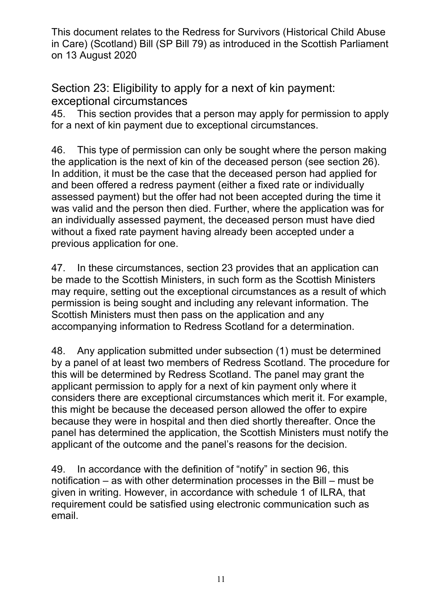Section 23: Eligibility to apply for a next of kin payment: exceptional circumstances

45. This section provides that a person may apply for permission to apply for a next of kin payment due to exceptional circumstances.

46. This type of permission can only be sought where the person making the application is the next of kin of the deceased person (see section 26). In addition, it must be the case that the deceased person had applied for and been offered a redress payment (either a fixed rate or individually assessed payment) but the offer had not been accepted during the time it was valid and the person then died. Further, where the application was for an individually assessed payment, the deceased person must have died without a fixed rate payment having already been accepted under a previous application for one.

47. In these circumstances, section 23 provides that an application can be made to the Scottish Ministers, in such form as the Scottish Ministers may require, setting out the exceptional circumstances as a result of which permission is being sought and including any relevant information. The Scottish Ministers must then pass on the application and any accompanying information to Redress Scotland for a determination.

48. Any application submitted under subsection (1) must be determined by a panel of at least two members of Redress Scotland. The procedure for this will be determined by Redress Scotland. The panel may grant the applicant permission to apply for a next of kin payment only where it considers there are exceptional circumstances which merit it. For example, this might be because the deceased person allowed the offer to expire because they were in hospital and then died shortly thereafter. Once the panel has determined the application, the Scottish Ministers must notify the applicant of the outcome and the panel's reasons for the decision.

49. In accordance with the definition of "notify" in section 96, this notification – as with other determination processes in the Bill – must be given in writing. However, in accordance with schedule 1 of ILRA, that requirement could be satisfied using electronic communication such as email.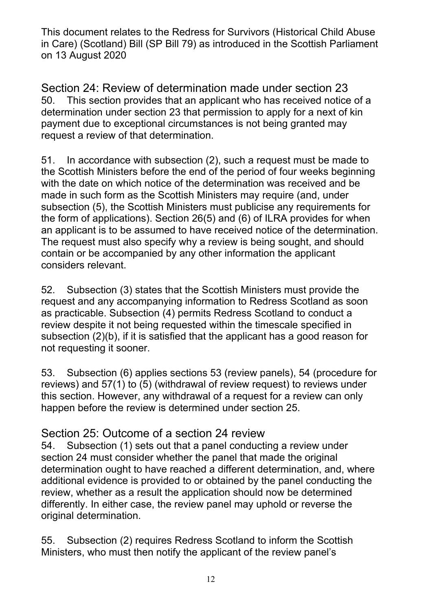Section 24: Review of determination made under section 23 50. This section provides that an applicant who has received notice of a determination under section 23 that permission to apply for a next of kin payment due to exceptional circumstances is not being granted may request a review of that determination.

51. In accordance with subsection (2), such a request must be made to the Scottish Ministers before the end of the period of four weeks beginning with the date on which notice of the determination was received and be made in such form as the Scottish Ministers may require (and, under subsection (5), the Scottish Ministers must publicise any requirements for the form of applications). Section 26(5) and (6) of ILRA provides for when an applicant is to be assumed to have received notice of the determination. The request must also specify why a review is being sought, and should contain or be accompanied by any other information the applicant considers relevant.

52. Subsection (3) states that the Scottish Ministers must provide the request and any accompanying information to Redress Scotland as soon as practicable. Subsection (4) permits Redress Scotland to conduct a review despite it not being requested within the timescale specified in subsection (2)(b), if it is satisfied that the applicant has a good reason for not requesting it sooner.

53. Subsection (6) applies sections 53 (review panels), 54 (procedure for reviews) and 57(1) to (5) (withdrawal of review request) to reviews under this section. However, any withdrawal of a request for a review can only happen before the review is determined under section 25.

### Section 25: Outcome of a section 24 review

54. Subsection (1) sets out that a panel conducting a review under section 24 must consider whether the panel that made the original determination ought to have reached a different determination, and, where additional evidence is provided to or obtained by the panel conducting the review, whether as a result the application should now be determined differently. In either case, the review panel may uphold or reverse the original determination.

55. Subsection (2) requires Redress Scotland to inform the Scottish Ministers, who must then notify the applicant of the review panel's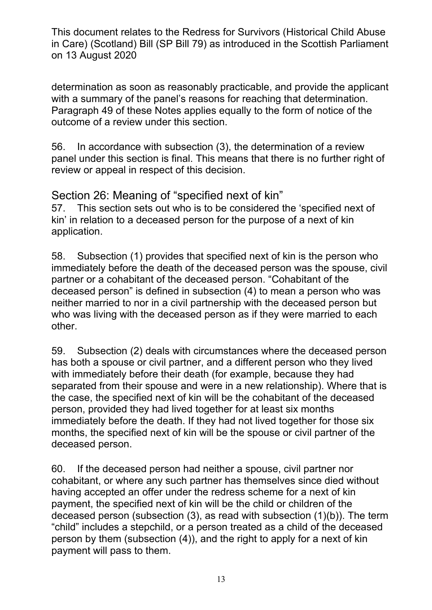determination as soon as reasonably practicable, and provide the applicant with a summary of the panel's reasons for reaching that determination. Paragraph 49 of these Notes applies equally to the form of notice of the outcome of a review under this section.

56. In accordance with subsection (3), the determination of a review panel under this section is final. This means that there is no further right of review or appeal in respect of this decision.

Section 26: Meaning of "specified next of kin"

57. This section sets out who is to be considered the 'specified next of kin' in relation to a deceased person for the purpose of a next of kin application.

58. Subsection (1) provides that specified next of kin is the person who immediately before the death of the deceased person was the spouse, civil partner or a cohabitant of the deceased person. "Cohabitant of the deceased person" is defined in subsection (4) to mean a person who was neither married to nor in a civil partnership with the deceased person but who was living with the deceased person as if they were married to each other.

59. Subsection (2) deals with circumstances where the deceased person has both a spouse or civil partner, and a different person who they lived with immediately before their death (for example, because they had separated from their spouse and were in a new relationship). Where that is the case, the specified next of kin will be the cohabitant of the deceased person, provided they had lived together for at least six months immediately before the death. If they had not lived together for those six months, the specified next of kin will be the spouse or civil partner of the deceased person.

60. If the deceased person had neither a spouse, civil partner nor cohabitant, or where any such partner has themselves since died without having accepted an offer under the redress scheme for a next of kin payment, the specified next of kin will be the child or children of the deceased person (subsection (3), as read with subsection (1)(b)). The term "child" includes a stepchild, or a person treated as a child of the deceased person by them (subsection (4)), and the right to apply for a next of kin payment will pass to them.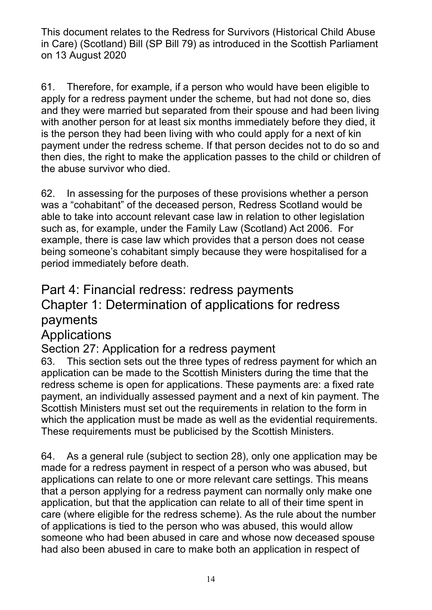61. Therefore, for example, if a person who would have been eligible to apply for a redress payment under the scheme, but had not done so, dies and they were married but separated from their spouse and had been living with another person for at least six months immediately before they died, it is the person they had been living with who could apply for a next of kin payment under the redress scheme. If that person decides not to do so and then dies, the right to make the application passes to the child or children of the abuse survivor who died.

62. In assessing for the purposes of these provisions whether a person was a "cohabitant" of the deceased person, Redress Scotland would be able to take into account relevant case law in relation to other legislation such as, for example, under the Family Law (Scotland) Act 2006. For example, there is case law which provides that a person does not cease being someone's cohabitant simply because they were hospitalised for a period immediately before death.

# Part 4: Financial redress: redress payments Chapter 1: Determination of applications for redress payments

# Applications

## Section 27: Application for a redress payment

63. This section sets out the three types of redress payment for which an application can be made to the Scottish Ministers during the time that the redress scheme is open for applications. These payments are: a fixed rate payment, an individually assessed payment and a next of kin payment. The Scottish Ministers must set out the requirements in relation to the form in which the application must be made as well as the evidential requirements. These requirements must be publicised by the Scottish Ministers.

64. As a general rule (subject to section 28), only one application may be made for a redress payment in respect of a person who was abused, but applications can relate to one or more relevant care settings. This means that a person applying for a redress payment can normally only make one application, but that the application can relate to all of their time spent in care (where eligible for the redress scheme). As the rule about the number of applications is tied to the person who was abused, this would allow someone who had been abused in care and whose now deceased spouse had also been abused in care to make both an application in respect of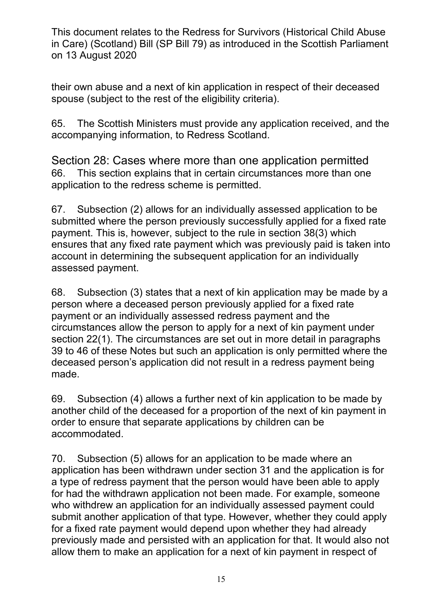their own abuse and a next of kin application in respect of their deceased spouse (subject to the rest of the eligibility criteria).

65. The Scottish Ministers must provide any application received, and the accompanying information, to Redress Scotland.

Section 28: Cases where more than one application permitted 66. This section explains that in certain circumstances more than one application to the redress scheme is permitted.

67. Subsection (2) allows for an individually assessed application to be submitted where the person previously successfully applied for a fixed rate payment. This is, however, subject to the rule in section 38(3) which ensures that any fixed rate payment which was previously paid is taken into account in determining the subsequent application for an individually assessed payment.

68. Subsection (3) states that a next of kin application may be made by a person where a deceased person previously applied for a fixed rate payment or an individually assessed redress payment and the circumstances allow the person to apply for a next of kin payment under section 22(1). The circumstances are set out in more detail in paragraphs 39 to 46 of these Notes but such an application is only permitted where the deceased person's application did not result in a redress payment being made.

69. Subsection (4) allows a further next of kin application to be made by another child of the deceased for a proportion of the next of kin payment in order to ensure that separate applications by children can be accommodated.

70. Subsection (5) allows for an application to be made where an application has been withdrawn under section 31 and the application is for a type of redress payment that the person would have been able to apply for had the withdrawn application not been made. For example, someone who withdrew an application for an individually assessed payment could submit another application of that type. However, whether they could apply for a fixed rate payment would depend upon whether they had already previously made and persisted with an application for that. It would also not allow them to make an application for a next of kin payment in respect of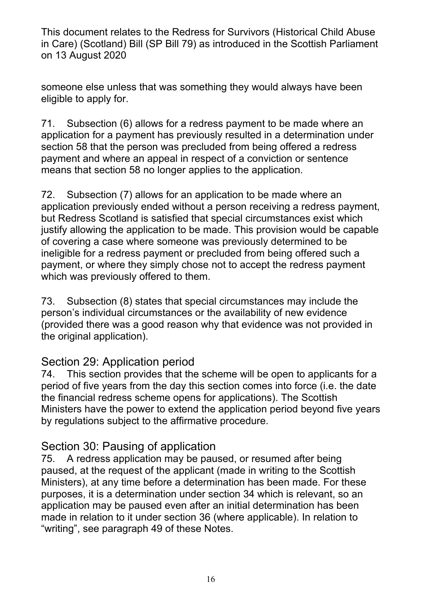someone else unless that was something they would always have been eligible to apply for.

71. Subsection (6) allows for a redress payment to be made where an application for a payment has previously resulted in a determination under section 58 that the person was precluded from being offered a redress payment and where an appeal in respect of a conviction or sentence means that section 58 no longer applies to the application.

72. Subsection (7) allows for an application to be made where an application previously ended without a person receiving a redress payment, but Redress Scotland is satisfied that special circumstances exist which justify allowing the application to be made. This provision would be capable of covering a case where someone was previously determined to be ineligible for a redress payment or precluded from being offered such a payment, or where they simply chose not to accept the redress payment which was previously offered to them.

73. Subsection (8) states that special circumstances may include the person's individual circumstances or the availability of new evidence (provided there was a good reason why that evidence was not provided in the original application).

## Section 29: Application period

74. This section provides that the scheme will be open to applicants for a period of five years from the day this section comes into force (i.e. the date the financial redress scheme opens for applications). The Scottish Ministers have the power to extend the application period beyond five years by regulations subject to the affirmative procedure.

### Section 30: Pausing of application

75. A redress application may be paused, or resumed after being paused, at the request of the applicant (made in writing to the Scottish Ministers), at any time before a determination has been made. For these purposes, it is a determination under section 34 which is relevant, so an application may be paused even after an initial determination has been made in relation to it under section 36 (where applicable). In relation to "writing", see paragraph 49 of these Notes.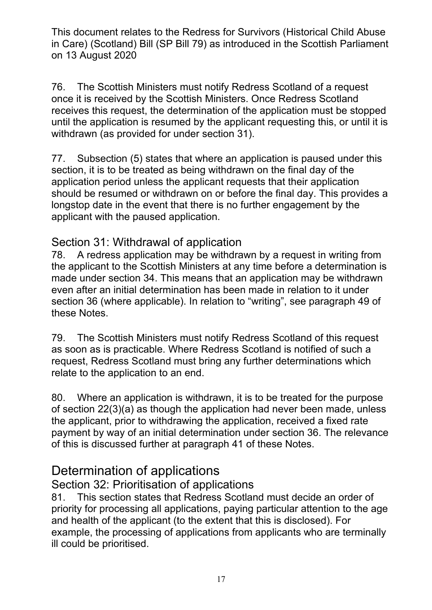76. The Scottish Ministers must notify Redress Scotland of a request once it is received by the Scottish Ministers. Once Redress Scotland receives this request, the determination of the application must be stopped until the application is resumed by the applicant requesting this, or until it is withdrawn (as provided for under section 31).

77. Subsection (5) states that where an application is paused under this section, it is to be treated as being withdrawn on the final day of the application period unless the applicant requests that their application should be resumed or withdrawn on or before the final day. This provides a longstop date in the event that there is no further engagement by the applicant with the paused application.

### Section 31: Withdrawal of application

78. A redress application may be withdrawn by a request in writing from the applicant to the Scottish Ministers at any time before a determination is made under section 34. This means that an application may be withdrawn even after an initial determination has been made in relation to it under section 36 (where applicable). In relation to "writing", see paragraph 49 of these Notes.

79. The Scottish Ministers must notify Redress Scotland of this request as soon as is practicable. Where Redress Scotland is notified of such a request, Redress Scotland must bring any further determinations which relate to the application to an end.

80. Where an application is withdrawn, it is to be treated for the purpose of section 22(3)(a) as though the application had never been made, unless the applicant, prior to withdrawing the application, received a fixed rate payment by way of an initial determination under section 36. The relevance of this is discussed further at paragraph 41 of these Notes.

# Determination of applications

Section 32: Prioritisation of applications

81. This section states that Redress Scotland must decide an order of priority for processing all applications, paying particular attention to the age and health of the applicant (to the extent that this is disclosed). For example, the processing of applications from applicants who are terminally ill could be prioritised.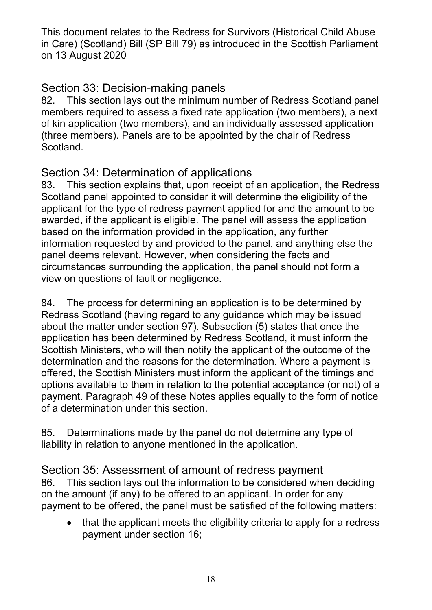### Section 33: Decision-making panels

82. This section lays out the minimum number of Redress Scotland panel members required to assess a fixed rate application (two members), a next of kin application (two members), and an individually assessed application (three members). Panels are to be appointed by the chair of Redress Scotland.

### Section 34: Determination of applications

83. This section explains that, upon receipt of an application, the Redress Scotland panel appointed to consider it will determine the eligibility of the applicant for the type of redress payment applied for and the amount to be awarded, if the applicant is eligible. The panel will assess the application based on the information provided in the application, any further information requested by and provided to the panel, and anything else the panel deems relevant. However, when considering the facts and circumstances surrounding the application, the panel should not form a view on questions of fault or negligence.

84. The process for determining an application is to be determined by Redress Scotland (having regard to any guidance which may be issued about the matter under section 97). Subsection (5) states that once the application has been determined by Redress Scotland, it must inform the Scottish Ministers, who will then notify the applicant of the outcome of the determination and the reasons for the determination. Where a payment is offered, the Scottish Ministers must inform the applicant of the timings and options available to them in relation to the potential acceptance (or not) of a payment. Paragraph 49 of these Notes applies equally to the form of notice of a determination under this section.

85. Determinations made by the panel do not determine any type of liability in relation to anyone mentioned in the application.

### Section 35: Assessment of amount of redress payment

86. This section lays out the information to be considered when deciding on the amount (if any) to be offered to an applicant. In order for any payment to be offered, the panel must be satisfied of the following matters:

 that the applicant meets the eligibility criteria to apply for a redress payment under section 16;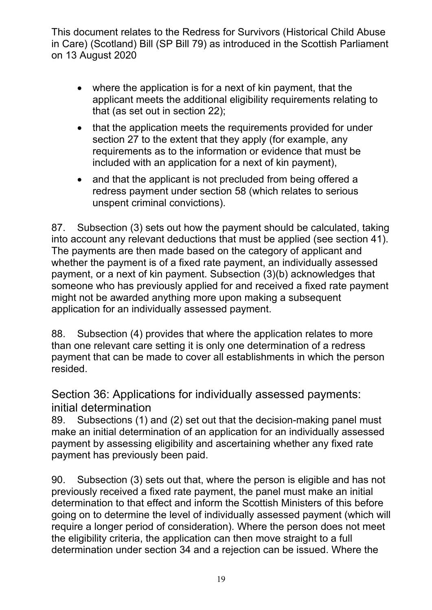- where the application is for a next of kin payment, that the applicant meets the additional eligibility requirements relating to that (as set out in section 22);
- that the application meets the requirements provided for under section 27 to the extent that they apply (for example, any requirements as to the information or evidence that must be included with an application for a next of kin payment),
- and that the applicant is not precluded from being offered a redress payment under section 58 (which relates to serious unspent criminal convictions).

87. Subsection (3) sets out how the payment should be calculated, taking into account any relevant deductions that must be applied (see section 41). The payments are then made based on the category of applicant and whether the payment is of a fixed rate payment, an individually assessed payment, or a next of kin payment. Subsection (3)(b) acknowledges that someone who has previously applied for and received a fixed rate payment might not be awarded anything more upon making a subsequent application for an individually assessed payment.

88. Subsection (4) provides that where the application relates to more than one relevant care setting it is only one determination of a redress payment that can be made to cover all establishments in which the person resided.

Section 36: Applications for individually assessed payments: initial determination

89. Subsections (1) and (2) set out that the decision-making panel must make an initial determination of an application for an individually assessed payment by assessing eligibility and ascertaining whether any fixed rate payment has previously been paid.

90. Subsection (3) sets out that, where the person is eligible and has not previously received a fixed rate payment, the panel must make an initial determination to that effect and inform the Scottish Ministers of this before going on to determine the level of individually assessed payment (which will require a longer period of consideration). Where the person does not meet the eligibility criteria, the application can then move straight to a full determination under section 34 and a rejection can be issued. Where the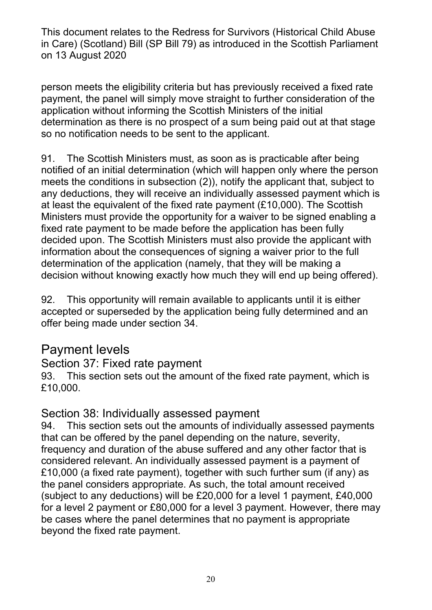person meets the eligibility criteria but has previously received a fixed rate payment, the panel will simply move straight to further consideration of the application without informing the Scottish Ministers of the initial determination as there is no prospect of a sum being paid out at that stage so no notification needs to be sent to the applicant.

91. The Scottish Ministers must, as soon as is practicable after being notified of an initial determination (which will happen only where the person meets the conditions in subsection (2)), notify the applicant that, subject to any deductions, they will receive an individually assessed payment which is at least the equivalent of the fixed rate payment (£10,000). The Scottish Ministers must provide the opportunity for a waiver to be signed enabling a fixed rate payment to be made before the application has been fully decided upon. The Scottish Ministers must also provide the applicant with information about the consequences of signing a waiver prior to the full determination of the application (namely, that they will be making a decision without knowing exactly how much they will end up being offered).

92. This opportunity will remain available to applicants until it is either accepted or superseded by the application being fully determined and an offer being made under section 34.

# Payment levels

#### Section 37: Fixed rate payment

93. This section sets out the amount of the fixed rate payment, which is £10,000.

### Section 38: Individually assessed payment

94. This section sets out the amounts of individually assessed payments that can be offered by the panel depending on the nature, severity, frequency and duration of the abuse suffered and any other factor that is considered relevant. An individually assessed payment is a payment of £10,000 (a fixed rate payment), together with such further sum (if any) as the panel considers appropriate. As such, the total amount received (subject to any deductions) will be £20,000 for a level 1 payment, £40,000 for a level 2 payment or £80,000 for a level 3 payment. However, there may be cases where the panel determines that no payment is appropriate beyond the fixed rate payment.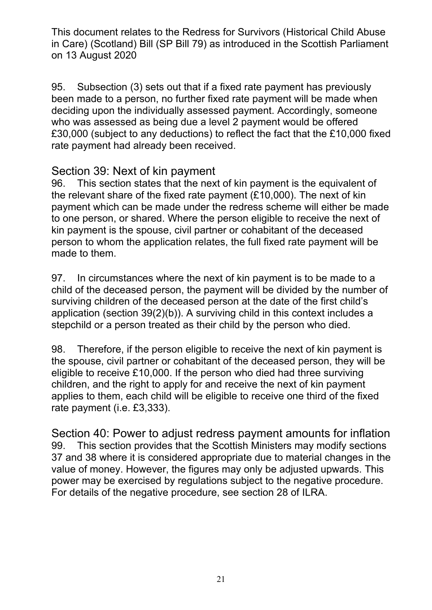95. Subsection (3) sets out that if a fixed rate payment has previously been made to a person, no further fixed rate payment will be made when deciding upon the individually assessed payment. Accordingly, someone who was assessed as being due a level 2 payment would be offered £30,000 (subject to any deductions) to reflect the fact that the £10,000 fixed rate payment had already been received.

#### Section 39: Next of kin payment

96. This section states that the next of kin payment is the equivalent of the relevant share of the fixed rate payment (£10,000). The next of kin payment which can be made under the redress scheme will either be made to one person, or shared. Where the person eligible to receive the next of kin payment is the spouse, civil partner or cohabitant of the deceased person to whom the application relates, the full fixed rate payment will be made to them.

97. In circumstances where the next of kin payment is to be made to a child of the deceased person, the payment will be divided by the number of surviving children of the deceased person at the date of the first child's application (section 39(2)(b)). A surviving child in this context includes a stepchild or a person treated as their child by the person who died.

98. Therefore, if the person eligible to receive the next of kin payment is the spouse, civil partner or cohabitant of the deceased person, they will be eligible to receive £10,000. If the person who died had three surviving children, and the right to apply for and receive the next of kin payment applies to them, each child will be eligible to receive one third of the fixed rate payment (i.e. £3,333).

Section 40: Power to adjust redress payment amounts for inflation 99. This section provides that the Scottish Ministers may modify sections 37 and 38 where it is considered appropriate due to material changes in the value of money. However, the figures may only be adjusted upwards. This power may be exercised by regulations subject to the negative procedure. For details of the negative procedure, see section 28 of ILRA.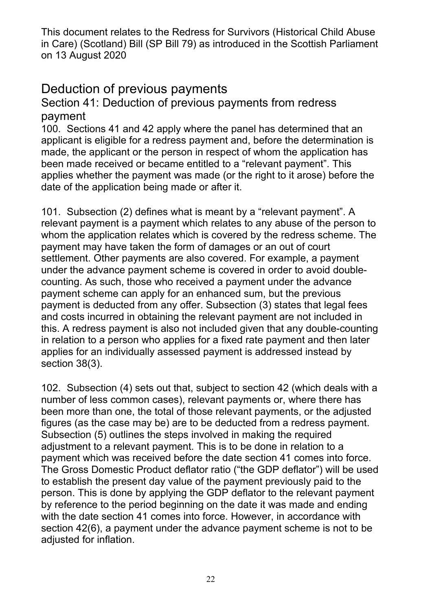# Deduction of previous payments

Section 41: Deduction of previous payments from redress payment

100. Sections 41 and 42 apply where the panel has determined that an applicant is eligible for a redress payment and, before the determination is made, the applicant or the person in respect of whom the application has been made received or became entitled to a "relevant payment". This applies whether the payment was made (or the right to it arose) before the date of the application being made or after it.

101. Subsection (2) defines what is meant by a "relevant payment". A relevant payment is a payment which relates to any abuse of the person to whom the application relates which is covered by the redress scheme. The payment may have taken the form of damages or an out of court settlement. Other payments are also covered. For example, a payment under the advance payment scheme is covered in order to avoid doublecounting. As such, those who received a payment under the advance payment scheme can apply for an enhanced sum, but the previous payment is deducted from any offer. Subsection (3) states that legal fees and costs incurred in obtaining the relevant payment are not included in this. A redress payment is also not included given that any double-counting in relation to a person who applies for a fixed rate payment and then later applies for an individually assessed payment is addressed instead by section 38(3).

102. Subsection (4) sets out that, subject to section 42 (which deals with a number of less common cases), relevant payments or, where there has been more than one, the total of those relevant payments, or the adjusted figures (as the case may be) are to be deducted from a redress payment. Subsection (5) outlines the steps involved in making the required adjustment to a relevant payment. This is to be done in relation to a payment which was received before the date section 41 comes into force. The Gross Domestic Product deflator ratio ("the GDP deflator") will be used to establish the present day value of the payment previously paid to the person. This is done by applying the GDP deflator to the relevant payment by reference to the period beginning on the date it was made and ending with the date section 41 comes into force. However, in accordance with section 42(6), a payment under the advance payment scheme is not to be adjusted for inflation.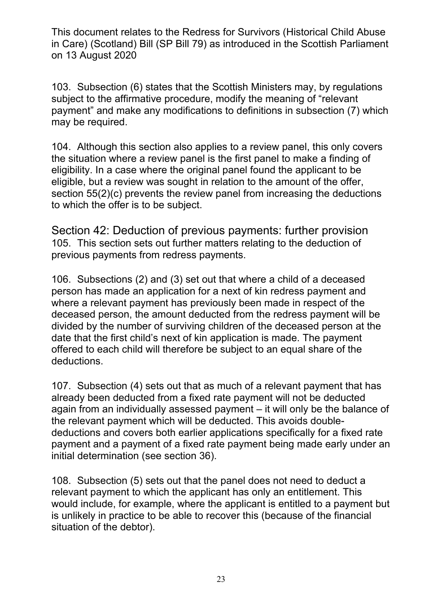103. Subsection (6) states that the Scottish Ministers may, by regulations subject to the affirmative procedure, modify the meaning of "relevant payment" and make any modifications to definitions in subsection (7) which may be required.

104. Although this section also applies to a review panel, this only covers the situation where a review panel is the first panel to make a finding of eligibility. In a case where the original panel found the applicant to be eligible, but a review was sought in relation to the amount of the offer, section 55(2)(c) prevents the review panel from increasing the deductions to which the offer is to be subject.

Section 42: Deduction of previous payments: further provision 105. This section sets out further matters relating to the deduction of previous payments from redress payments.

106. Subsections (2) and (3) set out that where a child of a deceased person has made an application for a next of kin redress payment and where a relevant payment has previously been made in respect of the deceased person, the amount deducted from the redress payment will be divided by the number of surviving children of the deceased person at the date that the first child's next of kin application is made. The payment offered to each child will therefore be subject to an equal share of the deductions.

107. Subsection (4) sets out that as much of a relevant payment that has already been deducted from a fixed rate payment will not be deducted again from an individually assessed payment – it will only be the balance of the relevant payment which will be deducted. This avoids doubledeductions and covers both earlier applications specifically for a fixed rate payment and a payment of a fixed rate payment being made early under an initial determination (see section 36).

108. Subsection (5) sets out that the panel does not need to deduct a relevant payment to which the applicant has only an entitlement. This would include, for example, where the applicant is entitled to a payment but is unlikely in practice to be able to recover this (because of the financial situation of the debtor).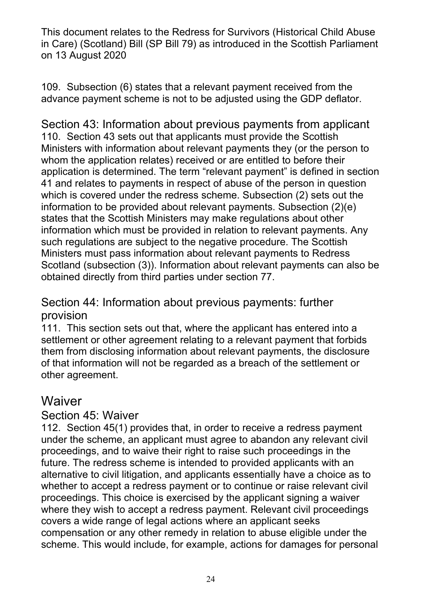109. Subsection (6) states that a relevant payment received from the advance payment scheme is not to be adjusted using the GDP deflator.

Section 43: Information about previous payments from applicant 110. Section 43 sets out that applicants must provide the Scottish Ministers with information about relevant payments they (or the person to whom the application relates) received or are entitled to before their application is determined. The term "relevant payment" is defined in section 41 and relates to payments in respect of abuse of the person in question which is covered under the redress scheme. Subsection (2) sets out the information to be provided about relevant payments. Subsection (2)(e) states that the Scottish Ministers may make regulations about other information which must be provided in relation to relevant payments. Any such regulations are subject to the negative procedure. The Scottish Ministers must pass information about relevant payments to Redress Scotland (subsection (3)). Information about relevant payments can also be obtained directly from third parties under section 77.

### Section 44: Information about previous payments: further provision

111. This section sets out that, where the applicant has entered into a settlement or other agreement relating to a relevant payment that forbids them from disclosing information about relevant payments, the disclosure of that information will not be regarded as a breach of the settlement or other agreement.

# **Waiver**

### Section 45: Waiver

112. Section 45(1) provides that, in order to receive a redress payment under the scheme, an applicant must agree to abandon any relevant civil proceedings, and to waive their right to raise such proceedings in the future. The redress scheme is intended to provided applicants with an alternative to civil litigation, and applicants essentially have a choice as to whether to accept a redress payment or to continue or raise relevant civil proceedings. This choice is exercised by the applicant signing a waiver where they wish to accept a redress payment. Relevant civil proceedings covers a wide range of legal actions where an applicant seeks compensation or any other remedy in relation to abuse eligible under the scheme. This would include, for example, actions for damages for personal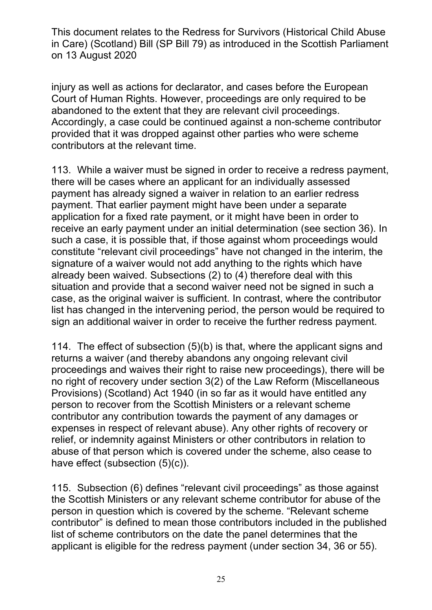injury as well as actions for declarator, and cases before the European Court of Human Rights. However, proceedings are only required to be abandoned to the extent that they are relevant civil proceedings. Accordingly, a case could be continued against a non-scheme contributor provided that it was dropped against other parties who were scheme contributors at the relevant time.

113. While a waiver must be signed in order to receive a redress payment, there will be cases where an applicant for an individually assessed payment has already signed a waiver in relation to an earlier redress payment. That earlier payment might have been under a separate application for a fixed rate payment, or it might have been in order to receive an early payment under an initial determination (see section 36). In such a case, it is possible that, if those against whom proceedings would constitute "relevant civil proceedings" have not changed in the interim, the signature of a waiver would not add anything to the rights which have already been waived. Subsections (2) to (4) therefore deal with this situation and provide that a second waiver need not be signed in such a case, as the original waiver is sufficient. In contrast, where the contributor list has changed in the intervening period, the person would be required to sign an additional waiver in order to receive the further redress payment.

114. The effect of subsection (5)(b) is that, where the applicant signs and returns a waiver (and thereby abandons any ongoing relevant civil proceedings and waives their right to raise new proceedings), there will be no right of recovery under section 3(2) of the Law Reform (Miscellaneous Provisions) (Scotland) Act 1940 (in so far as it would have entitled any person to recover from the Scottish Ministers or a relevant scheme contributor any contribution towards the payment of any damages or expenses in respect of relevant abuse). Any other rights of recovery or relief, or indemnity against Ministers or other contributors in relation to abuse of that person which is covered under the scheme, also cease to have effect (subsection (5)(c)).

115. Subsection (6) defines "relevant civil proceedings" as those against the Scottish Ministers or any relevant scheme contributor for abuse of the person in question which is covered by the scheme. "Relevant scheme contributor" is defined to mean those contributors included in the published list of scheme contributors on the date the panel determines that the applicant is eligible for the redress payment (under section 34, 36 or 55).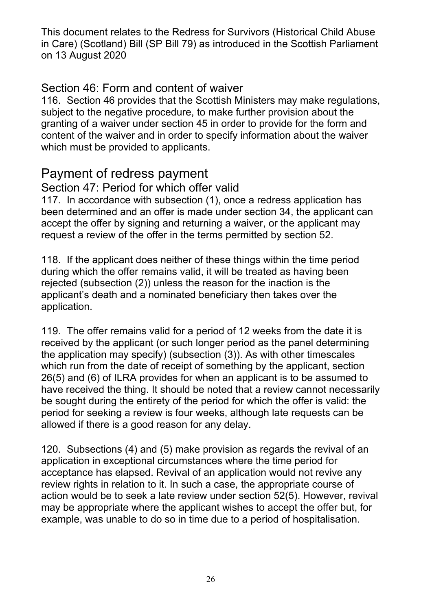### Section 46: Form and content of waiver

116. Section 46 provides that the Scottish Ministers may make regulations, subject to the negative procedure, to make further provision about the granting of a waiver under section 45 in order to provide for the form and content of the waiver and in order to specify information about the waiver which must be provided to applicants.

# Payment of redress payment

#### Section 47: Period for which offer valid

117. In accordance with subsection (1), once a redress application has been determined and an offer is made under section 34, the applicant can accept the offer by signing and returning a waiver, or the applicant may request a review of the offer in the terms permitted by section 52.

118. If the applicant does neither of these things within the time period during which the offer remains valid, it will be treated as having been rejected (subsection (2)) unless the reason for the inaction is the applicant's death and a nominated beneficiary then takes over the application.

119. The offer remains valid for a period of 12 weeks from the date it is received by the applicant (or such longer period as the panel determining the application may specify) (subsection (3)). As with other timescales which run from the date of receipt of something by the applicant, section 26(5) and (6) of ILRA provides for when an applicant is to be assumed to have received the thing. It should be noted that a review cannot necessarily be sought during the entirety of the period for which the offer is valid: the period for seeking a review is four weeks, although late requests can be allowed if there is a good reason for any delay.

120. Subsections (4) and (5) make provision as regards the revival of an application in exceptional circumstances where the time period for acceptance has elapsed. Revival of an application would not revive any review rights in relation to it. In such a case, the appropriate course of action would be to seek a late review under section 52(5). However, revival may be appropriate where the applicant wishes to accept the offer but, for example, was unable to do so in time due to a period of hospitalisation.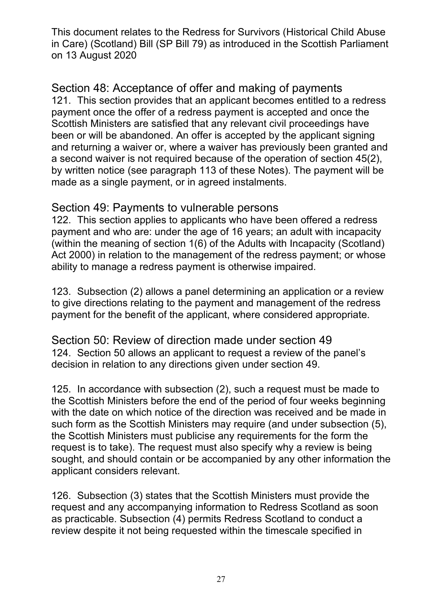Section 48: Acceptance of offer and making of payments 121. This section provides that an applicant becomes entitled to a redress payment once the offer of a redress payment is accepted and once the Scottish Ministers are satisfied that any relevant civil proceedings have been or will be abandoned. An offer is accepted by the applicant signing and returning a waiver or, where a waiver has previously been granted and a second waiver is not required because of the operation of section 45(2), by written notice (see paragraph 113 of these Notes). The payment will be made as a single payment, or in agreed instalments.

#### Section 49: Payments to vulnerable persons

122. This section applies to applicants who have been offered a redress payment and who are: under the age of 16 years; an adult with incapacity (within the meaning of section 1(6) of the Adults with Incapacity (Scotland) Act 2000) in relation to the management of the redress payment; or whose ability to manage a redress payment is otherwise impaired.

123. Subsection (2) allows a panel determining an application or a review to give directions relating to the payment and management of the redress payment for the benefit of the applicant, where considered appropriate.

Section 50: Review of direction made under section 49 124. Section 50 allows an applicant to request a review of the panel's decision in relation to any directions given under section 49.

125. In accordance with subsection (2), such a request must be made to the Scottish Ministers before the end of the period of four weeks beginning with the date on which notice of the direction was received and be made in such form as the Scottish Ministers may require (and under subsection (5), the Scottish Ministers must publicise any requirements for the form the request is to take). The request must also specify why a review is being sought, and should contain or be accompanied by any other information the applicant considers relevant.

126. Subsection (3) states that the Scottish Ministers must provide the request and any accompanying information to Redress Scotland as soon as practicable. Subsection (4) permits Redress Scotland to conduct a review despite it not being requested within the timescale specified in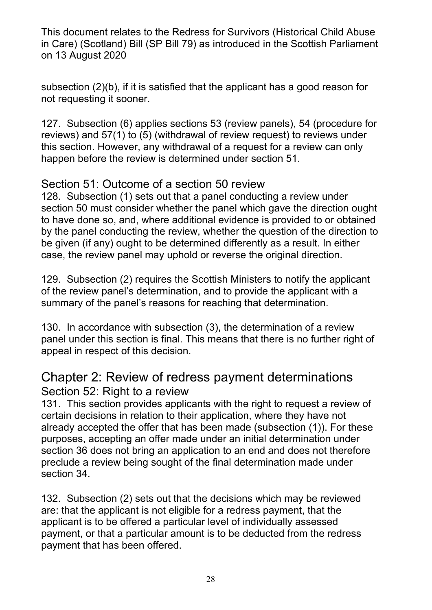subsection (2)(b), if it is satisfied that the applicant has a good reason for not requesting it sooner.

127. Subsection (6) applies sections 53 (review panels), 54 (procedure for reviews) and 57(1) to (5) (withdrawal of review request) to reviews under this section. However, any withdrawal of a request for a review can only happen before the review is determined under section 51.

# Section 51: Outcome of a section 50 review

128. Subsection (1) sets out that a panel conducting a review under section 50 must consider whether the panel which gave the direction ought to have done so, and, where additional evidence is provided to or obtained by the panel conducting the review, whether the question of the direction to be given (if any) ought to be determined differently as a result. In either case, the review panel may uphold or reverse the original direction.

129. Subsection (2) requires the Scottish Ministers to notify the applicant of the review panel's determination, and to provide the applicant with a summary of the panel's reasons for reaching that determination.

130. In accordance with subsection (3), the determination of a review panel under this section is final. This means that there is no further right of appeal in respect of this decision.

# Chapter 2: Review of redress payment determinations Section 52: Right to a review

131. This section provides applicants with the right to request a review of certain decisions in relation to their application, where they have not already accepted the offer that has been made (subsection (1)). For these purposes, accepting an offer made under an initial determination under section 36 does not bring an application to an end and does not therefore preclude a review being sought of the final determination made under section 34.

132. Subsection (2) sets out that the decisions which may be reviewed are: that the applicant is not eligible for a redress payment, that the applicant is to be offered a particular level of individually assessed payment, or that a particular amount is to be deducted from the redress payment that has been offered.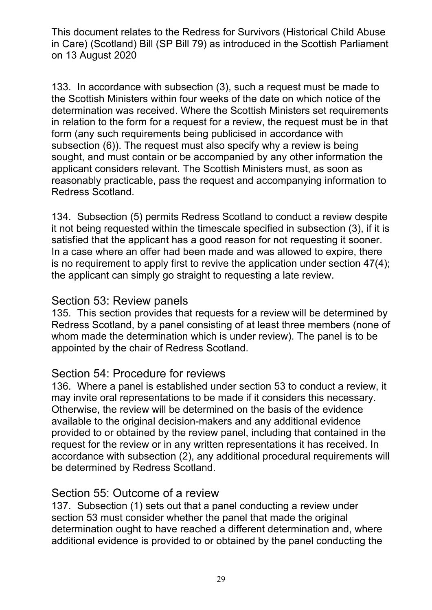133. In accordance with subsection (3), such a request must be made to the Scottish Ministers within four weeks of the date on which notice of the determination was received. Where the Scottish Ministers set requirements in relation to the form for a request for a review, the request must be in that form (any such requirements being publicised in accordance with subsection (6)). The request must also specify why a review is being sought, and must contain or be accompanied by any other information the applicant considers relevant. The Scottish Ministers must, as soon as reasonably practicable, pass the request and accompanying information to Redress Scotland.

134. Subsection (5) permits Redress Scotland to conduct a review despite it not being requested within the timescale specified in subsection (3), if it is satisfied that the applicant has a good reason for not requesting it sooner. In a case where an offer had been made and was allowed to expire, there is no requirement to apply first to revive the application under section 47(4); the applicant can simply go straight to requesting a late review.

#### Section 53: Review panels

135. This section provides that requests for a review will be determined by Redress Scotland, by a panel consisting of at least three members (none of whom made the determination which is under review). The panel is to be appointed by the chair of Redress Scotland.

#### Section 54: Procedure for reviews

136. Where a panel is established under section 53 to conduct a review, it may invite oral representations to be made if it considers this necessary. Otherwise, the review will be determined on the basis of the evidence available to the original decision-makers and any additional evidence provided to or obtained by the review panel, including that contained in the request for the review or in any written representations it has received. In accordance with subsection (2), any additional procedural requirements will be determined by Redress Scotland.

#### Section 55: Outcome of a review

137. Subsection (1) sets out that a panel conducting a review under section 53 must consider whether the panel that made the original determination ought to have reached a different determination and, where additional evidence is provided to or obtained by the panel conducting the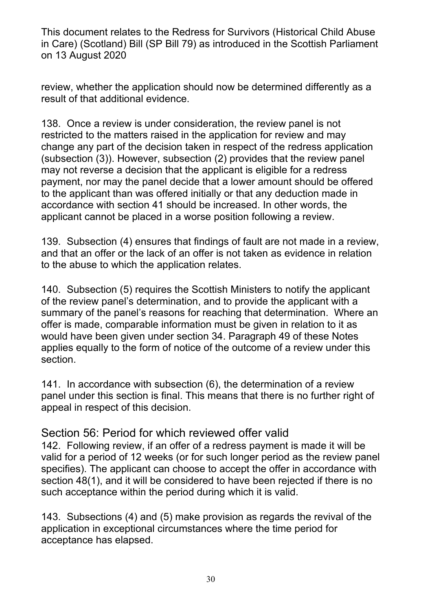review, whether the application should now be determined differently as a result of that additional evidence.

138. Once a review is under consideration, the review panel is not restricted to the matters raised in the application for review and may change any part of the decision taken in respect of the redress application (subsection (3)). However, subsection (2) provides that the review panel may not reverse a decision that the applicant is eligible for a redress payment, nor may the panel decide that a lower amount should be offered to the applicant than was offered initially or that any deduction made in accordance with section 41 should be increased. In other words, the applicant cannot be placed in a worse position following a review.

139. Subsection (4) ensures that findings of fault are not made in a review, and that an offer or the lack of an offer is not taken as evidence in relation to the abuse to which the application relates.

140. Subsection (5) requires the Scottish Ministers to notify the applicant of the review panel's determination, and to provide the applicant with a summary of the panel's reasons for reaching that determination. Where an offer is made, comparable information must be given in relation to it as would have been given under section 34. Paragraph 49 of these Notes applies equally to the form of notice of the outcome of a review under this section.

141. In accordance with subsection (6), the determination of a review panel under this section is final. This means that there is no further right of appeal in respect of this decision.

#### Section 56: Period for which reviewed offer valid

142. Following review, if an offer of a redress payment is made it will be valid for a period of 12 weeks (or for such longer period as the review panel specifies). The applicant can choose to accept the offer in accordance with section 48(1), and it will be considered to have been rejected if there is no such acceptance within the period during which it is valid.

143. Subsections (4) and (5) make provision as regards the revival of the application in exceptional circumstances where the time period for acceptance has elapsed.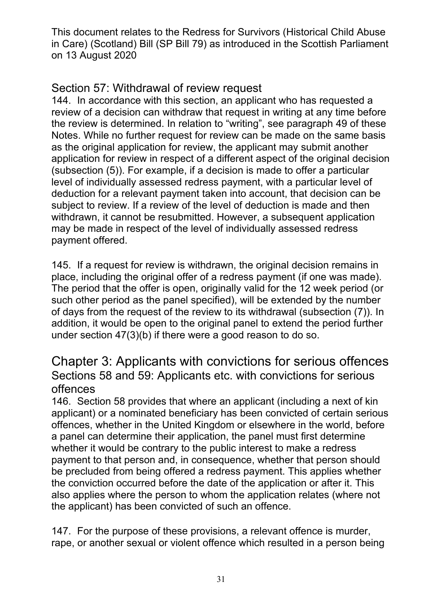### Section 57: Withdrawal of review request

144. In accordance with this section, an applicant who has requested a review of a decision can withdraw that request in writing at any time before the review is determined. In relation to "writing", see paragraph 49 of these Notes. While no further request for review can be made on the same basis as the original application for review, the applicant may submit another application for review in respect of a different aspect of the original decision (subsection (5)). For example, if a decision is made to offer a particular level of individually assessed redress payment, with a particular level of deduction for a relevant payment taken into account, that decision can be subject to review. If a review of the level of deduction is made and then withdrawn, it cannot be resubmitted. However, a subsequent application may be made in respect of the level of individually assessed redress payment offered.

145. If a request for review is withdrawn, the original decision remains in place, including the original offer of a redress payment (if one was made). The period that the offer is open, originally valid for the 12 week period (or such other period as the panel specified), will be extended by the number of days from the request of the review to its withdrawal (subsection (7)). In addition, it would be open to the original panel to extend the period further under section 47(3)(b) if there were a good reason to do so.

### Chapter 3: Applicants with convictions for serious offences Sections 58 and 59: Applicants etc. with convictions for serious offences

146. Section 58 provides that where an applicant (including a next of kin applicant) or a nominated beneficiary has been convicted of certain serious offences, whether in the United Kingdom or elsewhere in the world, before a panel can determine their application, the panel must first determine whether it would be contrary to the public interest to make a redress payment to that person and, in consequence, whether that person should be precluded from being offered a redress payment. This applies whether the conviction occurred before the date of the application or after it. This also applies where the person to whom the application relates (where not the applicant) has been convicted of such an offence.

147. For the purpose of these provisions, a relevant offence is murder, rape, or another sexual or violent offence which resulted in a person being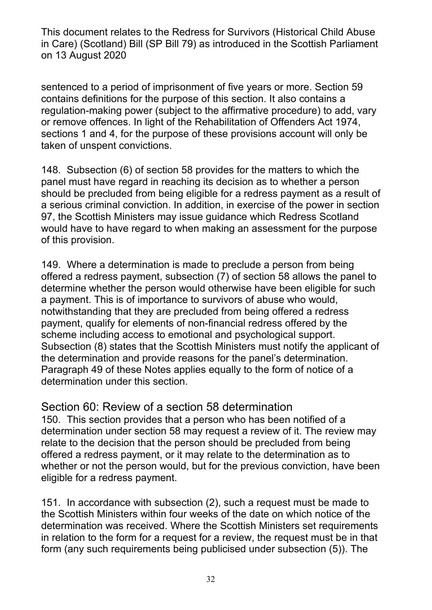sentenced to a period of imprisonment of five years or more. Section 59 contains definitions for the purpose of this section. It also contains a regulation-making power (subject to the affirmative procedure) to add, vary or remove offences. In light of the Rehabilitation of Offenders Act 1974, sections 1 and 4, for the purpose of these provisions account will only be taken of unspent convictions.

148. Subsection (6) of section 58 provides for the matters to which the panel must have regard in reaching its decision as to whether a person should be precluded from being eligible for a redress payment as a result of a serious criminal conviction. In addition, in exercise of the power in section 97, the Scottish Ministers may issue guidance which Redress Scotland would have to have regard to when making an assessment for the purpose of this provision.

149. Where a determination is made to preclude a person from being offered a redress payment, subsection (7) of section 58 allows the panel to determine whether the person would otherwise have been eligible for such a payment. This is of importance to survivors of abuse who would, notwithstanding that they are precluded from being offered a redress payment, qualify for elements of non-financial redress offered by the scheme including access to emotional and psychological support. Subsection (8) states that the Scottish Ministers must notify the applicant of the determination and provide reasons for the panel's determination. Paragraph 49 of these Notes applies equally to the form of notice of a determination under this section.

#### Section 60: Review of a section 58 determination

150. This section provides that a person who has been notified of a determination under section 58 may request a review of it. The review may relate to the decision that the person should be precluded from being offered a redress payment, or it may relate to the determination as to whether or not the person would, but for the previous conviction, have been eligible for a redress payment.

151. In accordance with subsection (2), such a request must be made to the Scottish Ministers within four weeks of the date on which notice of the determination was received. Where the Scottish Ministers set requirements in relation to the form for a request for a review, the request must be in that form (any such requirements being publicised under subsection (5)). The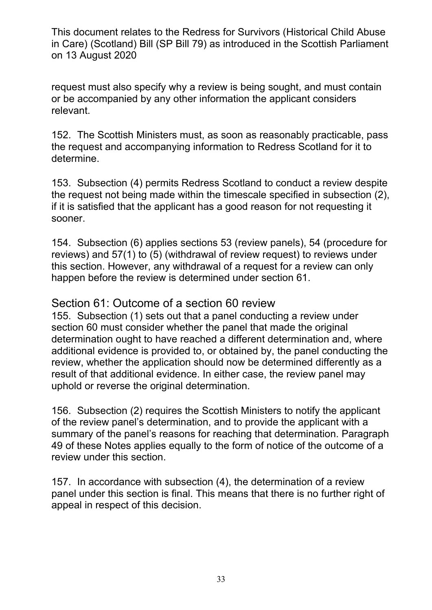request must also specify why a review is being sought, and must contain or be accompanied by any other information the applicant considers relevant.

152. The Scottish Ministers must, as soon as reasonably practicable, pass the request and accompanying information to Redress Scotland for it to determine.

153. Subsection (4) permits Redress Scotland to conduct a review despite the request not being made within the timescale specified in subsection (2), if it is satisfied that the applicant has a good reason for not requesting it sooner.

154. Subsection (6) applies sections 53 (review panels), 54 (procedure for reviews) and 57(1) to (5) (withdrawal of review request) to reviews under this section. However, any withdrawal of a request for a review can only happen before the review is determined under section 61.

#### Section 61: Outcome of a section 60 review

155. Subsection (1) sets out that a panel conducting a review under section 60 must consider whether the panel that made the original determination ought to have reached a different determination and, where additional evidence is provided to, or obtained by, the panel conducting the review, whether the application should now be determined differently as a result of that additional evidence. In either case, the review panel may uphold or reverse the original determination.

156. Subsection (2) requires the Scottish Ministers to notify the applicant of the review panel's determination, and to provide the applicant with a summary of the panel's reasons for reaching that determination. Paragraph 49 of these Notes applies equally to the form of notice of the outcome of a review under this section.

157. In accordance with subsection (4), the determination of a review panel under this section is final. This means that there is no further right of appeal in respect of this decision.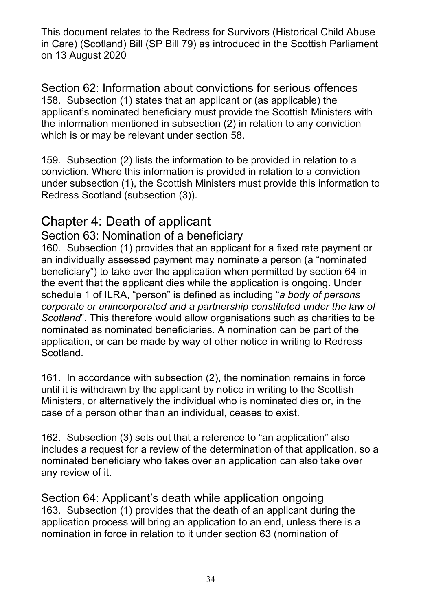Section 62: Information about convictions for serious offences 158. Subsection (1) states that an applicant or (as applicable) the applicant's nominated beneficiary must provide the Scottish Ministers with the information mentioned in subsection (2) in relation to any conviction which is or may be relevant under section 58.

159. Subsection (2) lists the information to be provided in relation to a conviction. Where this information is provided in relation to a conviction under subsection (1), the Scottish Ministers must provide this information to Redress Scotland (subsection (3)).

# Chapter 4: Death of applicant

### Section 63: Nomination of a beneficiary

160. Subsection (1) provides that an applicant for a fixed rate payment or an individually assessed payment may nominate a person (a "nominated beneficiary") to take over the application when permitted by section 64 in the event that the applicant dies while the application is ongoing. Under schedule 1 of ILRA, "person" is defined as including "*a body of persons corporate or unincorporated and a partnership constituted under the law of Scotland*". This therefore would allow organisations such as charities to be nominated as nominated beneficiaries. A nomination can be part of the application, or can be made by way of other notice in writing to Redress Scotland.

161. In accordance with subsection (2), the nomination remains in force until it is withdrawn by the applicant by notice in writing to the Scottish Ministers, or alternatively the individual who is nominated dies or, in the case of a person other than an individual, ceases to exist.

162. Subsection (3) sets out that a reference to "an application" also includes a request for a review of the determination of that application, so a nominated beneficiary who takes over an application can also take over any review of it.

Section 64: Applicant's death while application ongoing 163. Subsection (1) provides that the death of an applicant during the application process will bring an application to an end, unless there is a nomination in force in relation to it under section 63 (nomination of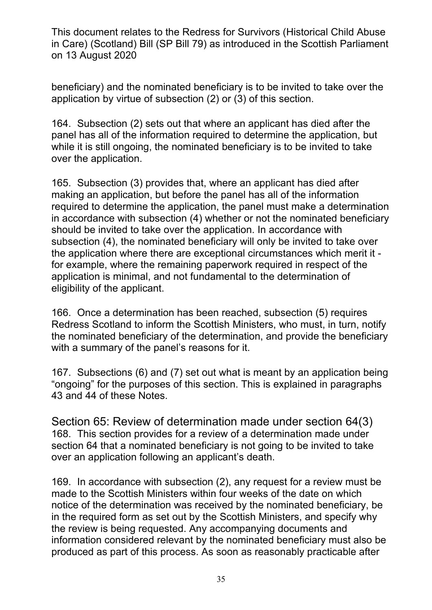beneficiary) and the nominated beneficiary is to be invited to take over the application by virtue of subsection (2) or (3) of this section.

164. Subsection (2) sets out that where an applicant has died after the panel has all of the information required to determine the application, but while it is still ongoing, the nominated beneficiary is to be invited to take over the application.

165. Subsection (3) provides that, where an applicant has died after making an application, but before the panel has all of the information required to determine the application, the panel must make a determination in accordance with subsection (4) whether or not the nominated beneficiary should be invited to take over the application. In accordance with subsection (4), the nominated beneficiary will only be invited to take over the application where there are exceptional circumstances which merit it for example, where the remaining paperwork required in respect of the application is minimal, and not fundamental to the determination of eligibility of the applicant.

166. Once a determination has been reached, subsection (5) requires Redress Scotland to inform the Scottish Ministers, who must, in turn, notify the nominated beneficiary of the determination, and provide the beneficiary with a summary of the panel's reasons for it.

167. Subsections (6) and (7) set out what is meant by an application being "ongoing" for the purposes of this section. This is explained in paragraphs 43 and 44 of these Notes.

Section 65: Review of determination made under section 64(3) 168. This section provides for a review of a determination made under section 64 that a nominated beneficiary is not going to be invited to take over an application following an applicant's death.

169. In accordance with subsection (2), any request for a review must be made to the Scottish Ministers within four weeks of the date on which notice of the determination was received by the nominated beneficiary, be in the required form as set out by the Scottish Ministers, and specify why the review is being requested. Any accompanying documents and information considered relevant by the nominated beneficiary must also be produced as part of this process. As soon as reasonably practicable after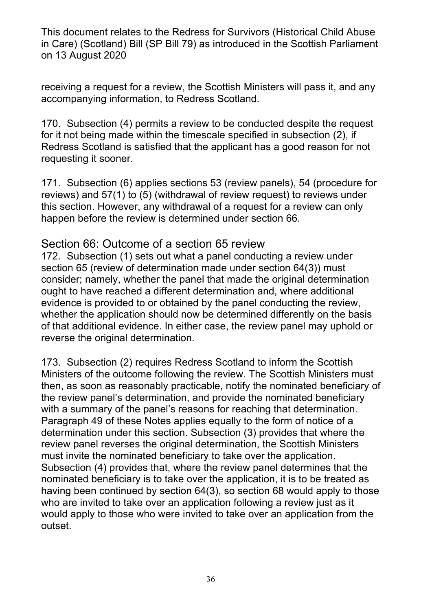receiving a request for a review, the Scottish Ministers will pass it, and any accompanying information, to Redress Scotland.

170. Subsection (4) permits a review to be conducted despite the request for it not being made within the timescale specified in subsection (2), if Redress Scotland is satisfied that the applicant has a good reason for not requesting it sooner.

171. Subsection (6) applies sections 53 (review panels), 54 (procedure for reviews) and 57(1) to (5) (withdrawal of review request) to reviews under this section. However, any withdrawal of a request for a review can only happen before the review is determined under section 66.

#### Section 66: Outcome of a section 65 review

172. Subsection (1) sets out what a panel conducting a review under section 65 (review of determination made under section 64(3)) must consider; namely, whether the panel that made the original determination ought to have reached a different determination and, where additional evidence is provided to or obtained by the panel conducting the review, whether the application should now be determined differently on the basis of that additional evidence. In either case, the review panel may uphold or reverse the original determination.

173. Subsection (2) requires Redress Scotland to inform the Scottish Ministers of the outcome following the review. The Scottish Ministers must then, as soon as reasonably practicable, notify the nominated beneficiary of the review panel's determination, and provide the nominated beneficiary with a summary of the panel's reasons for reaching that determination. Paragraph 49 of these Notes applies equally to the form of notice of a determination under this section. Subsection (3) provides that where the review panel reverses the original determination, the Scottish Ministers must invite the nominated beneficiary to take over the application. Subsection (4) provides that, where the review panel determines that the nominated beneficiary is to take over the application, it is to be treated as having been continued by section 64(3), so section 68 would apply to those who are invited to take over an application following a review just as it would apply to those who were invited to take over an application from the outset.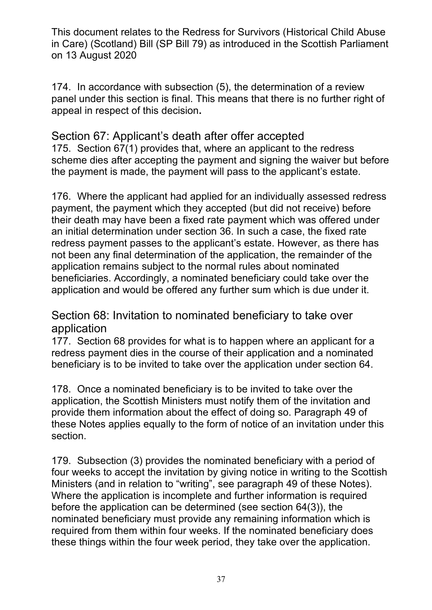174. In accordance with subsection (5), the determination of a review panel under this section is final. This means that there is no further right of appeal in respect of this decision**.** 

Section 67: Applicant's death after offer accepted 175. Section 67(1) provides that, where an applicant to the redress scheme dies after accepting the payment and signing the waiver but before the payment is made, the payment will pass to the applicant's estate.

176. Where the applicant had applied for an individually assessed redress payment, the payment which they accepted (but did not receive) before their death may have been a fixed rate payment which was offered under an initial determination under section 36. In such a case, the fixed rate redress payment passes to the applicant's estate. However, as there has not been any final determination of the application, the remainder of the application remains subject to the normal rules about nominated beneficiaries. Accordingly, a nominated beneficiary could take over the application and would be offered any further sum which is due under it.

Section 68: Invitation to nominated beneficiary to take over application

177. Section 68 provides for what is to happen where an applicant for a redress payment dies in the course of their application and a nominated beneficiary is to be invited to take over the application under section 64.

178. Once a nominated beneficiary is to be invited to take over the application, the Scottish Ministers must notify them of the invitation and provide them information about the effect of doing so. Paragraph 49 of these Notes applies equally to the form of notice of an invitation under this section.

179. Subsection (3) provides the nominated beneficiary with a period of four weeks to accept the invitation by giving notice in writing to the Scottish Ministers (and in relation to "writing", see paragraph 49 of these Notes). Where the application is incomplete and further information is required before the application can be determined (see section 64(3)), the nominated beneficiary must provide any remaining information which is required from them within four weeks. If the nominated beneficiary does these things within the four week period, they take over the application.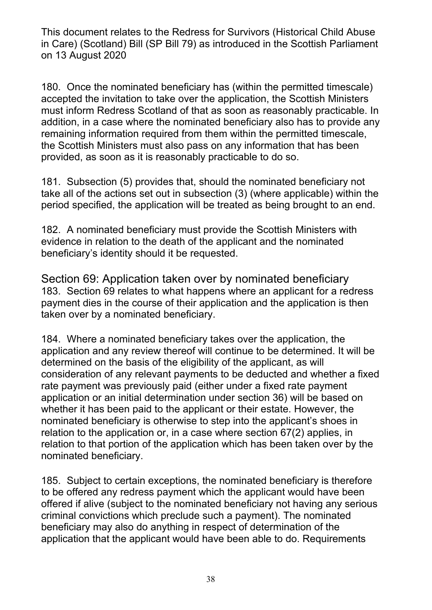180. Once the nominated beneficiary has (within the permitted timescale) accepted the invitation to take over the application, the Scottish Ministers must inform Redress Scotland of that as soon as reasonably practicable. In addition, in a case where the nominated beneficiary also has to provide any remaining information required from them within the permitted timescale, the Scottish Ministers must also pass on any information that has been provided, as soon as it is reasonably practicable to do so.

181. Subsection (5) provides that, should the nominated beneficiary not take all of the actions set out in subsection (3) (where applicable) within the period specified, the application will be treated as being brought to an end.

182. A nominated beneficiary must provide the Scottish Ministers with evidence in relation to the death of the applicant and the nominated beneficiary's identity should it be requested.

Section 69: Application taken over by nominated beneficiary 183. Section 69 relates to what happens where an applicant for a redress payment dies in the course of their application and the application is then taken over by a nominated beneficiary.

184. Where a nominated beneficiary takes over the application, the application and any review thereof will continue to be determined. It will be determined on the basis of the eligibility of the applicant, as will consideration of any relevant payments to be deducted and whether a fixed rate payment was previously paid (either under a fixed rate payment application or an initial determination under section 36) will be based on whether it has been paid to the applicant or their estate. However, the nominated beneficiary is otherwise to step into the applicant's shoes in relation to the application or, in a case where section 67(2) applies, in relation to that portion of the application which has been taken over by the nominated beneficiary.

185. Subject to certain exceptions, the nominated beneficiary is therefore to be offered any redress payment which the applicant would have been offered if alive (subject to the nominated beneficiary not having any serious criminal convictions which preclude such a payment). The nominated beneficiary may also do anything in respect of determination of the application that the applicant would have been able to do. Requirements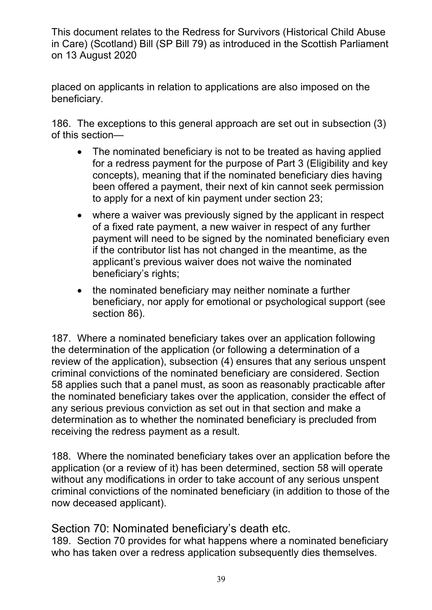placed on applicants in relation to applications are also imposed on the beneficiary.

186. The exceptions to this general approach are set out in subsection (3) of this section—

- The nominated beneficiary is not to be treated as having applied for a redress payment for the purpose of Part 3 (Eligibility and key concepts), meaning that if the nominated beneficiary dies having been offered a payment, their next of kin cannot seek permission to apply for a next of kin payment under section 23;
- where a waiver was previously signed by the applicant in respect of a fixed rate payment, a new waiver in respect of any further payment will need to be signed by the nominated beneficiary even if the contributor list has not changed in the meantime, as the applicant's previous waiver does not waive the nominated beneficiary's rights;
- the nominated beneficiary may neither nominate a further beneficiary, nor apply for emotional or psychological support (see section 86).

187. Where a nominated beneficiary takes over an application following the determination of the application (or following a determination of a review of the application), subsection (4) ensures that any serious unspent criminal convictions of the nominated beneficiary are considered. Section 58 applies such that a panel must, as soon as reasonably practicable after the nominated beneficiary takes over the application, consider the effect of any serious previous conviction as set out in that section and make a determination as to whether the nominated beneficiary is precluded from receiving the redress payment as a result.

188. Where the nominated beneficiary takes over an application before the application (or a review of it) has been determined, section 58 will operate without any modifications in order to take account of any serious unspent criminal convictions of the nominated beneficiary (in addition to those of the now deceased applicant).

Section 70: Nominated beneficiary's death etc.

189. Section 70 provides for what happens where a nominated beneficiary who has taken over a redress application subsequently dies themselves.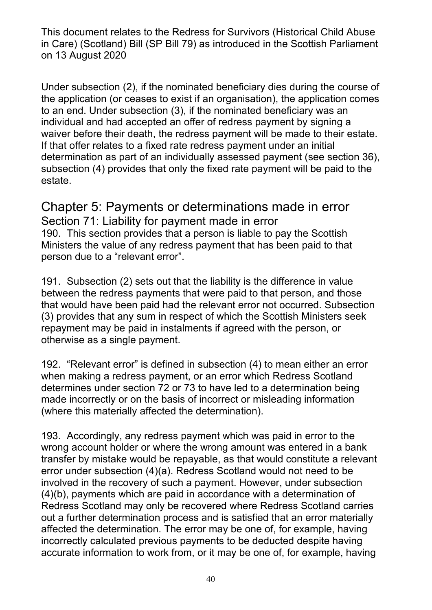Under subsection (2), if the nominated beneficiary dies during the course of the application (or ceases to exist if an organisation), the application comes to an end. Under subsection (3), if the nominated beneficiary was an individual and had accepted an offer of redress payment by signing a waiver before their death, the redress payment will be made to their estate. If that offer relates to a fixed rate redress payment under an initial determination as part of an individually assessed payment (see section 36), subsection (4) provides that only the fixed rate payment will be paid to the estate.

# Chapter 5: Payments or determinations made in error

Section 71: Liability for payment made in error 190. This section provides that a person is liable to pay the Scottish Ministers the value of any redress payment that has been paid to that person due to a "relevant error".

191. Subsection (2) sets out that the liability is the difference in value between the redress payments that were paid to that person, and those that would have been paid had the relevant error not occurred. Subsection (3) provides that any sum in respect of which the Scottish Ministers seek repayment may be paid in instalments if agreed with the person, or otherwise as a single payment.

192. "Relevant error" is defined in subsection (4) to mean either an error when making a redress payment, or an error which Redress Scotland determines under section 72 or 73 to have led to a determination being made incorrectly or on the basis of incorrect or misleading information (where this materially affected the determination).

193. Accordingly, any redress payment which was paid in error to the wrong account holder or where the wrong amount was entered in a bank transfer by mistake would be repayable, as that would constitute a relevant error under subsection (4)(a). Redress Scotland would not need to be involved in the recovery of such a payment. However, under subsection (4)(b), payments which are paid in accordance with a determination of Redress Scotland may only be recovered where Redress Scotland carries out a further determination process and is satisfied that an error materially affected the determination. The error may be one of, for example, having incorrectly calculated previous payments to be deducted despite having accurate information to work from, or it may be one of, for example, having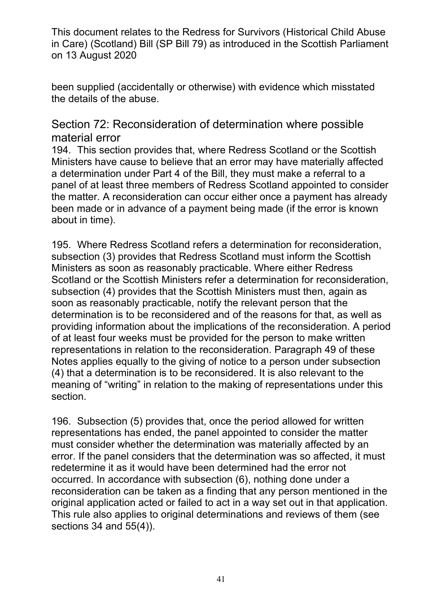been supplied (accidentally or otherwise) with evidence which misstated the details of the abuse.

#### Section 72: Reconsideration of determination where possible material error

194. This section provides that, where Redress Scotland or the Scottish Ministers have cause to believe that an error may have materially affected a determination under Part 4 of the Bill, they must make a referral to a panel of at least three members of Redress Scotland appointed to consider the matter. A reconsideration can occur either once a payment has already been made or in advance of a payment being made (if the error is known about in time).

195. Where Redress Scotland refers a determination for reconsideration, subsection (3) provides that Redress Scotland must inform the Scottish Ministers as soon as reasonably practicable. Where either Redress Scotland or the Scottish Ministers refer a determination for reconsideration, subsection (4) provides that the Scottish Ministers must then, again as soon as reasonably practicable, notify the relevant person that the determination is to be reconsidered and of the reasons for that, as well as providing information about the implications of the reconsideration. A period of at least four weeks must be provided for the person to make written representations in relation to the reconsideration. Paragraph 49 of these Notes applies equally to the giving of notice to a person under subsection (4) that a determination is to be reconsidered. It is also relevant to the meaning of "writing" in relation to the making of representations under this section.

196. Subsection (5) provides that, once the period allowed for written representations has ended, the panel appointed to consider the matter must consider whether the determination was materially affected by an error. If the panel considers that the determination was so affected, it must redetermine it as it would have been determined had the error not occurred. In accordance with subsection (6), nothing done under a reconsideration can be taken as a finding that any person mentioned in the original application acted or failed to act in a way set out in that application. This rule also applies to original determinations and reviews of them (see sections 34 and 55(4)).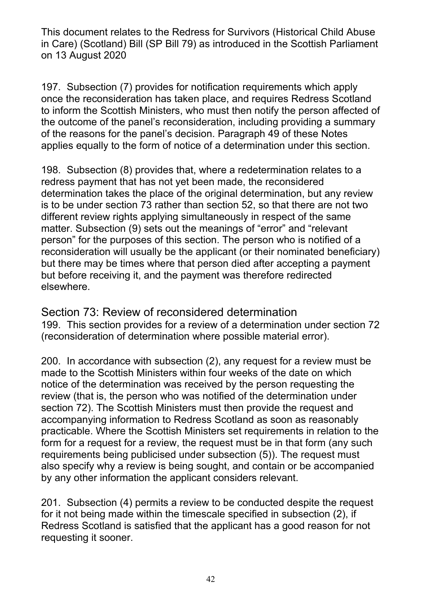197. Subsection (7) provides for notification requirements which apply once the reconsideration has taken place, and requires Redress Scotland to inform the Scottish Ministers, who must then notify the person affected of the outcome of the panel's reconsideration, including providing a summary of the reasons for the panel's decision. Paragraph 49 of these Notes applies equally to the form of notice of a determination under this section.

198. Subsection (8) provides that, where a redetermination relates to a redress payment that has not yet been made, the reconsidered determination takes the place of the original determination, but any review is to be under section 73 rather than section 52, so that there are not two different review rights applying simultaneously in respect of the same matter. Subsection (9) sets out the meanings of "error" and "relevant person" for the purposes of this section. The person who is notified of a reconsideration will usually be the applicant (or their nominated beneficiary) but there may be times where that person died after accepting a payment but before receiving it, and the payment was therefore redirected elsewhere.

Section 73: Review of reconsidered determination 199. This section provides for a review of a determination under section 72 (reconsideration of determination where possible material error).

200. In accordance with subsection (2), any request for a review must be made to the Scottish Ministers within four weeks of the date on which notice of the determination was received by the person requesting the review (that is, the person who was notified of the determination under section 72). The Scottish Ministers must then provide the request and accompanying information to Redress Scotland as soon as reasonably practicable. Where the Scottish Ministers set requirements in relation to the form for a request for a review, the request must be in that form (any such requirements being publicised under subsection (5)). The request must also specify why a review is being sought, and contain or be accompanied by any other information the applicant considers relevant.

201. Subsection (4) permits a review to be conducted despite the request for it not being made within the timescale specified in subsection (2), if Redress Scotland is satisfied that the applicant has a good reason for not requesting it sooner.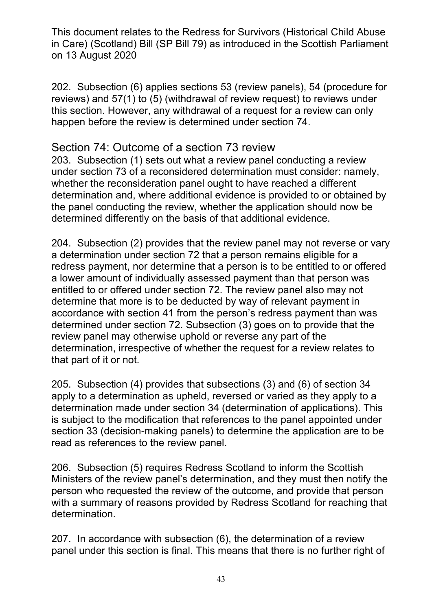202. Subsection (6) applies sections 53 (review panels), 54 (procedure for reviews) and 57(1) to (5) (withdrawal of review request) to reviews under this section. However, any withdrawal of a request for a review can only happen before the review is determined under section 74.

### Section 74: Outcome of a section 73 review

203. Subsection (1) sets out what a review panel conducting a review under section 73 of a reconsidered determination must consider: namely, whether the reconsideration panel ought to have reached a different determination and, where additional evidence is provided to or obtained by the panel conducting the review, whether the application should now be determined differently on the basis of that additional evidence.

204. Subsection (2) provides that the review panel may not reverse or vary a determination under section 72 that a person remains eligible for a redress payment, nor determine that a person is to be entitled to or offered a lower amount of individually assessed payment than that person was entitled to or offered under section 72. The review panel also may not determine that more is to be deducted by way of relevant payment in accordance with section 41 from the person's redress payment than was determined under section 72. Subsection (3) goes on to provide that the review panel may otherwise uphold or reverse any part of the determination, irrespective of whether the request for a review relates to that part of it or not.

205. Subsection (4) provides that subsections (3) and (6) of section 34 apply to a determination as upheld, reversed or varied as they apply to a determination made under section 34 (determination of applications). This is subject to the modification that references to the panel appointed under section 33 (decision-making panels) to determine the application are to be read as references to the review panel.

206. Subsection (5) requires Redress Scotland to inform the Scottish Ministers of the review panel's determination, and they must then notify the person who requested the review of the outcome, and provide that person with a summary of reasons provided by Redress Scotland for reaching that determination.

207. In accordance with subsection (6), the determination of a review panel under this section is final. This means that there is no further right of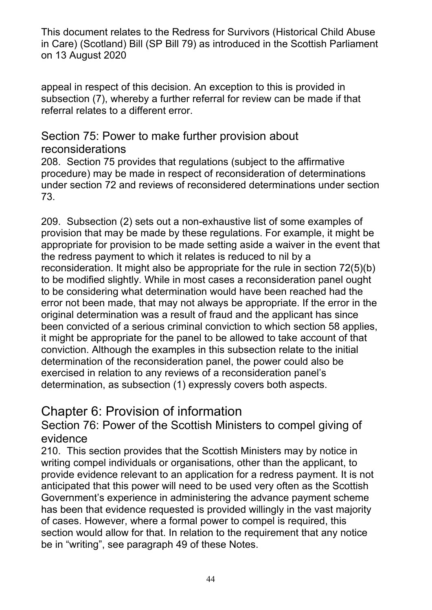appeal in respect of this decision. An exception to this is provided in subsection (7), whereby a further referral for review can be made if that referral relates to a different error.

#### Section 75: Power to make further provision about reconsiderations

208. Section 75 provides that regulations (subject to the affirmative procedure) may be made in respect of reconsideration of determinations under section 72 and reviews of reconsidered determinations under section 73.

209. Subsection (2) sets out a non-exhaustive list of some examples of provision that may be made by these regulations. For example, it might be appropriate for provision to be made setting aside a waiver in the event that the redress payment to which it relates is reduced to nil by a reconsideration. It might also be appropriate for the rule in section 72(5)(b) to be modified slightly. While in most cases a reconsideration panel ought to be considering what determination would have been reached had the error not been made, that may not always be appropriate. If the error in the original determination was a result of fraud and the applicant has since been convicted of a serious criminal conviction to which section 58 applies, it might be appropriate for the panel to be allowed to take account of that conviction. Although the examples in this subsection relate to the initial determination of the reconsideration panel, the power could also be exercised in relation to any reviews of a reconsideration panel's determination, as subsection (1) expressly covers both aspects.

# Chapter 6: Provision of information

Section 76: Power of the Scottish Ministers to compel giving of evidence

210. This section provides that the Scottish Ministers may by notice in writing compel individuals or organisations, other than the applicant, to provide evidence relevant to an application for a redress payment. It is not anticipated that this power will need to be used very often as the Scottish Government's experience in administering the advance payment scheme has been that evidence requested is provided willingly in the vast majority of cases. However, where a formal power to compel is required, this section would allow for that. In relation to the requirement that any notice be in "writing", see paragraph 49 of these Notes.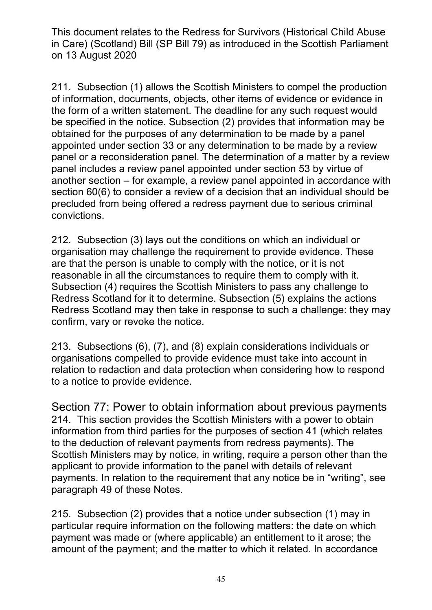211. Subsection (1) allows the Scottish Ministers to compel the production of information, documents, objects, other items of evidence or evidence in the form of a written statement. The deadline for any such request would be specified in the notice. Subsection (2) provides that information may be obtained for the purposes of any determination to be made by a panel appointed under section 33 or any determination to be made by a review panel or a reconsideration panel. The determination of a matter by a review panel includes a review panel appointed under section 53 by virtue of another section – for example, a review panel appointed in accordance with section 60(6) to consider a review of a decision that an individual should be precluded from being offered a redress payment due to serious criminal convictions.

212. Subsection (3) lays out the conditions on which an individual or organisation may challenge the requirement to provide evidence. These are that the person is unable to comply with the notice, or it is not reasonable in all the circumstances to require them to comply with it. Subsection (4) requires the Scottish Ministers to pass any challenge to Redress Scotland for it to determine. Subsection (5) explains the actions Redress Scotland may then take in response to such a challenge: they may confirm, vary or revoke the notice.

213. Subsections (6), (7), and (8) explain considerations individuals or organisations compelled to provide evidence must take into account in relation to redaction and data protection when considering how to respond to a notice to provide evidence.

Section 77: Power to obtain information about previous payments 214. This section provides the Scottish Ministers with a power to obtain information from third parties for the purposes of section 41 (which relates to the deduction of relevant payments from redress payments). The Scottish Ministers may by notice, in writing, require a person other than the applicant to provide information to the panel with details of relevant payments. In relation to the requirement that any notice be in "writing", see paragraph 49 of these Notes.

215. Subsection (2) provides that a notice under subsection (1) may in particular require information on the following matters: the date on which payment was made or (where applicable) an entitlement to it arose; the amount of the payment; and the matter to which it related. In accordance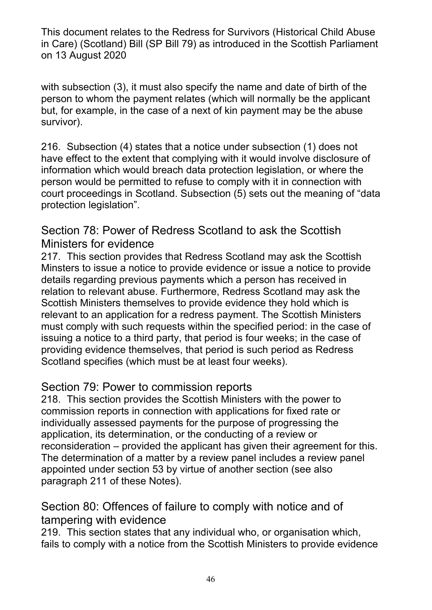with subsection (3), it must also specify the name and date of birth of the person to whom the payment relates (which will normally be the applicant but, for example, in the case of a next of kin payment may be the abuse survivor).

216. Subsection (4) states that a notice under subsection (1) does not have effect to the extent that complying with it would involve disclosure of information which would breach data protection legislation, or where the person would be permitted to refuse to comply with it in connection with court proceedings in Scotland. Subsection (5) sets out the meaning of "data protection legislation".

### Section 78: Power of Redress Scotland to ask the Scottish Ministers for evidence

217. This section provides that Redress Scotland may ask the Scottish Minsters to issue a notice to provide evidence or issue a notice to provide details regarding previous payments which a person has received in relation to relevant abuse. Furthermore, Redress Scotland may ask the Scottish Ministers themselves to provide evidence they hold which is relevant to an application for a redress payment. The Scottish Ministers must comply with such requests within the specified period: in the case of issuing a notice to a third party, that period is four weeks; in the case of providing evidence themselves, that period is such period as Redress Scotland specifies (which must be at least four weeks).

## Section 79: Power to commission reports

218. This section provides the Scottish Ministers with the power to commission reports in connection with applications for fixed rate or individually assessed payments for the purpose of progressing the application, its determination, or the conducting of a review or reconsideration – provided the applicant has given their agreement for this. The determination of a matter by a review panel includes a review panel appointed under section 53 by virtue of another section (see also paragraph 211 of these Notes).

### Section 80: Offences of failure to comply with notice and of tampering with evidence

219. This section states that any individual who, or organisation which, fails to comply with a notice from the Scottish Ministers to provide evidence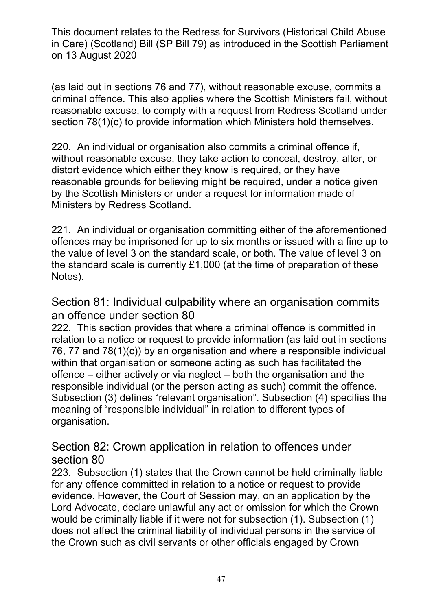(as laid out in sections 76 and 77), without reasonable excuse, commits a criminal offence. This also applies where the Scottish Ministers fail, without reasonable excuse, to comply with a request from Redress Scotland under section 78(1)(c) to provide information which Ministers hold themselves.

220. An individual or organisation also commits a criminal offence if, without reasonable excuse, they take action to conceal, destroy, alter, or distort evidence which either they know is required, or they have reasonable grounds for believing might be required, under a notice given by the Scottish Ministers or under a request for information made of Ministers by Redress Scotland.

221. An individual or organisation committing either of the aforementioned offences may be imprisoned for up to six months or issued with a fine up to the value of level 3 on the standard scale, or both. The value of level 3 on the standard scale is currently £1,000 (at the time of preparation of these Notes).

Section 81: Individual culpability where an organisation commits an offence under section 80

222. This section provides that where a criminal offence is committed in relation to a notice or request to provide information (as laid out in sections 76, 77 and 78(1)(c)) by an organisation and where a responsible individual within that organisation or someone acting as such has facilitated the offence – either actively or via neglect – both the organisation and the responsible individual (or the person acting as such) commit the offence. Subsection (3) defines "relevant organisation". Subsection (4) specifies the meaning of "responsible individual" in relation to different types of organisation.

Section 82: Crown application in relation to offences under section 80

223. Subsection (1) states that the Crown cannot be held criminally liable for any offence committed in relation to a notice or request to provide evidence. However, the Court of Session may, on an application by the Lord Advocate, declare unlawful any act or omission for which the Crown would be criminally liable if it were not for subsection (1). Subsection (1) does not affect the criminal liability of individual persons in the service of the Crown such as civil servants or other officials engaged by Crown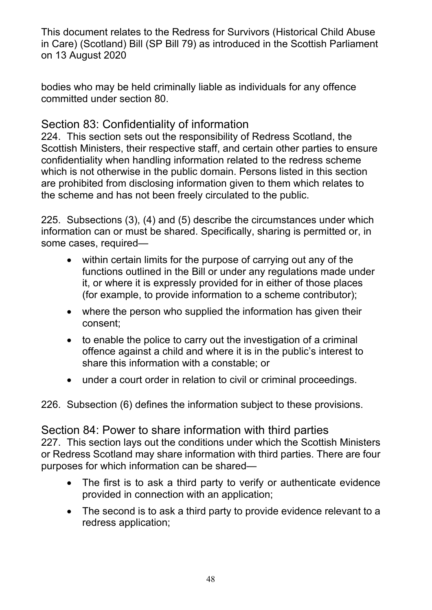bodies who may be held criminally liable as individuals for any offence committed under section 80.

## Section 83: Confidentiality of information

224. This section sets out the responsibility of Redress Scotland, the Scottish Ministers, their respective staff, and certain other parties to ensure confidentiality when handling information related to the redress scheme which is not otherwise in the public domain. Persons listed in this section are prohibited from disclosing information given to them which relates to the scheme and has not been freely circulated to the public.

225. Subsections (3), (4) and (5) describe the circumstances under which information can or must be shared. Specifically, sharing is permitted or, in some cases, required—

- within certain limits for the purpose of carrying out any of the functions outlined in the Bill or under any regulations made under it, or where it is expressly provided for in either of those places (for example, to provide information to a scheme contributor);
- where the person who supplied the information has given their consent;
- to enable the police to carry out the investigation of a criminal offence against a child and where it is in the public's interest to share this information with a constable; or
- under a court order in relation to civil or criminal proceedings.

226. Subsection (6) defines the information subject to these provisions.

#### Section 84: Power to share information with third parties 227. This section lays out the conditions under which the Scottish Ministers or Redress Scotland may share information with third parties. There are four purposes for which information can be shared—

- The first is to ask a third party to verify or authenticate evidence provided in connection with an application;
- The second is to ask a third party to provide evidence relevant to a redress application;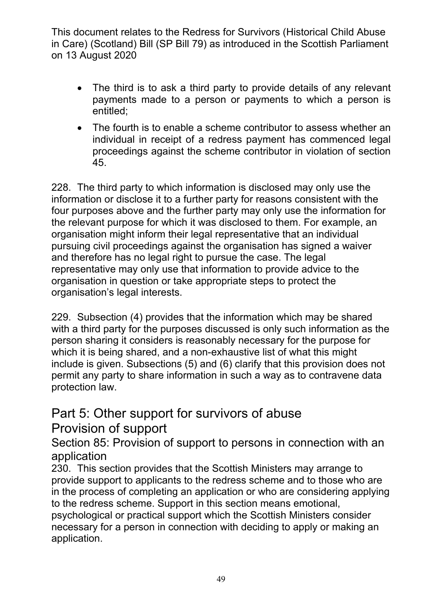- The third is to ask a third party to provide details of any relevant payments made to a person or payments to which a person is entitled;
- The fourth is to enable a scheme contributor to assess whether an individual in receipt of a redress payment has commenced legal proceedings against the scheme contributor in violation of section 45.

228. The third party to which information is disclosed may only use the information or disclose it to a further party for reasons consistent with the four purposes above and the further party may only use the information for the relevant purpose for which it was disclosed to them. For example, an organisation might inform their legal representative that an individual pursuing civil proceedings against the organisation has signed a waiver and therefore has no legal right to pursue the case. The legal representative may only use that information to provide advice to the organisation in question or take appropriate steps to protect the organisation's legal interests.

229. Subsection (4) provides that the information which may be shared with a third party for the purposes discussed is only such information as the person sharing it considers is reasonably necessary for the purpose for which it is being shared, and a non-exhaustive list of what this might include is given. Subsections (5) and (6) clarify that this provision does not permit any party to share information in such a way as to contravene data protection law.

# Part 5: Other support for survivors of abuse Provision of support

Section 85: Provision of support to persons in connection with an application

230. This section provides that the Scottish Ministers may arrange to provide support to applicants to the redress scheme and to those who are in the process of completing an application or who are considering applying to the redress scheme. Support in this section means emotional, psychological or practical support which the Scottish Ministers consider necessary for a person in connection with deciding to apply or making an

application.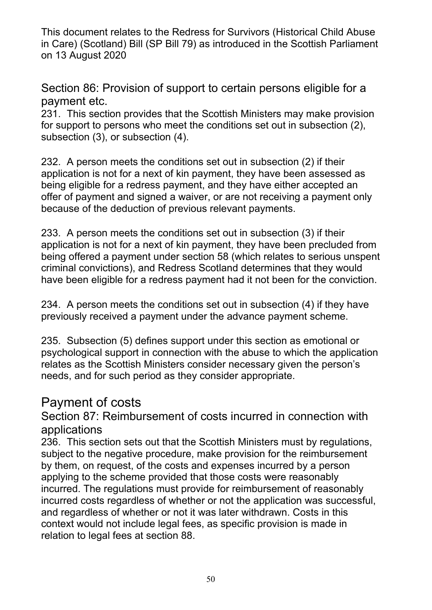Section 86: Provision of support to certain persons eligible for a payment etc.

231. This section provides that the Scottish Ministers may make provision for support to persons who meet the conditions set out in subsection (2), subsection (3), or subsection (4).

232. A person meets the conditions set out in subsection (2) if their application is not for a next of kin payment, they have been assessed as being eligible for a redress payment, and they have either accepted an offer of payment and signed a waiver, or are not receiving a payment only because of the deduction of previous relevant payments.

233. A person meets the conditions set out in subsection (3) if their application is not for a next of kin payment, they have been precluded from being offered a payment under section 58 (which relates to serious unspent criminal convictions), and Redress Scotland determines that they would have been eligible for a redress payment had it not been for the conviction.

234. A person meets the conditions set out in subsection (4) if they have previously received a payment under the advance payment scheme.

235. Subsection (5) defines support under this section as emotional or psychological support in connection with the abuse to which the application relates as the Scottish Ministers consider necessary given the person's needs, and for such period as they consider appropriate.

# Payment of costs

Section 87: Reimbursement of costs incurred in connection with applications

236. This section sets out that the Scottish Ministers must by regulations, subject to the negative procedure, make provision for the reimbursement by them, on request, of the costs and expenses incurred by a person applying to the scheme provided that those costs were reasonably incurred. The regulations must provide for reimbursement of reasonably incurred costs regardless of whether or not the application was successful, and regardless of whether or not it was later withdrawn. Costs in this context would not include legal fees, as specific provision is made in relation to legal fees at section 88.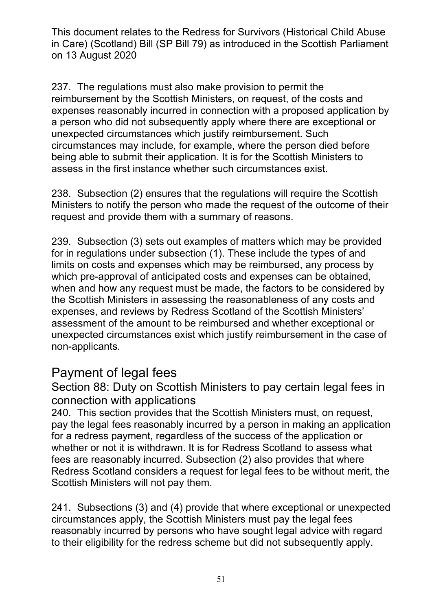237. The regulations must also make provision to permit the reimbursement by the Scottish Ministers, on request, of the costs and expenses reasonably incurred in connection with a proposed application by a person who did not subsequently apply where there are exceptional or unexpected circumstances which justify reimbursement. Such circumstances may include, for example, where the person died before being able to submit their application. It is for the Scottish Ministers to assess in the first instance whether such circumstances exist.

238. Subsection (2) ensures that the regulations will require the Scottish Ministers to notify the person who made the request of the outcome of their request and provide them with a summary of reasons.

239. Subsection (3) sets out examples of matters which may be provided for in regulations under subsection (1). These include the types of and limits on costs and expenses which may be reimbursed, any process by which pre-approval of anticipated costs and expenses can be obtained, when and how any request must be made, the factors to be considered by the Scottish Ministers in assessing the reasonableness of any costs and expenses, and reviews by Redress Scotland of the Scottish Ministers' assessment of the amount to be reimbursed and whether exceptional or unexpected circumstances exist which justify reimbursement in the case of non-applicants.

# Payment of legal fees

Section 88: Duty on Scottish Ministers to pay certain legal fees in connection with applications

240. This section provides that the Scottish Ministers must, on request, pay the legal fees reasonably incurred by a person in making an application for a redress payment, regardless of the success of the application or whether or not it is withdrawn. It is for Redress Scotland to assess what fees are reasonably incurred. Subsection (2) also provides that where Redress Scotland considers a request for legal fees to be without merit, the Scottish Ministers will not pay them.

241. Subsections (3) and (4) provide that where exceptional or unexpected circumstances apply, the Scottish Ministers must pay the legal fees reasonably incurred by persons who have sought legal advice with regard to their eligibility for the redress scheme but did not subsequently apply.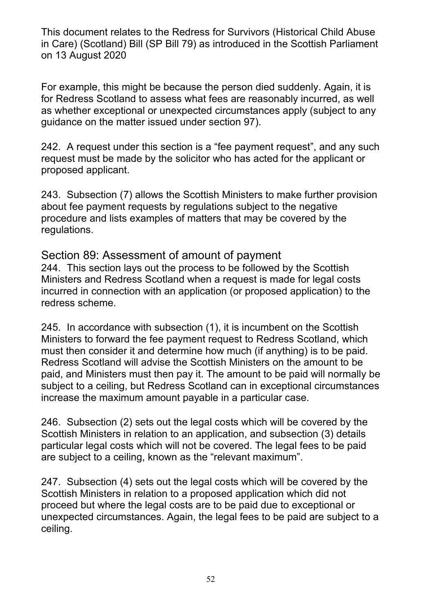For example, this might be because the person died suddenly. Again, it is for Redress Scotland to assess what fees are reasonably incurred, as well as whether exceptional or unexpected circumstances apply (subject to any guidance on the matter issued under section 97).

242. A request under this section is a "fee payment request", and any such request must be made by the solicitor who has acted for the applicant or proposed applicant.

243. Subsection (7) allows the Scottish Ministers to make further provision about fee payment requests by regulations subject to the negative procedure and lists examples of matters that may be covered by the regulations.

#### Section 89: Assessment of amount of payment

244. This section lays out the process to be followed by the Scottish Ministers and Redress Scotland when a request is made for legal costs incurred in connection with an application (or proposed application) to the redress scheme.

245. In accordance with subsection (1), it is incumbent on the Scottish Ministers to forward the fee payment request to Redress Scotland, which must then consider it and determine how much (if anything) is to be paid. Redress Scotland will advise the Scottish Ministers on the amount to be paid, and Ministers must then pay it. The amount to be paid will normally be subject to a ceiling, but Redress Scotland can in exceptional circumstances increase the maximum amount payable in a particular case.

246. Subsection (2) sets out the legal costs which will be covered by the Scottish Ministers in relation to an application, and subsection (3) details particular legal costs which will not be covered. The legal fees to be paid are subject to a ceiling, known as the "relevant maximum".

247. Subsection (4) sets out the legal costs which will be covered by the Scottish Ministers in relation to a proposed application which did not proceed but where the legal costs are to be paid due to exceptional or unexpected circumstances. Again, the legal fees to be paid are subject to a ceiling.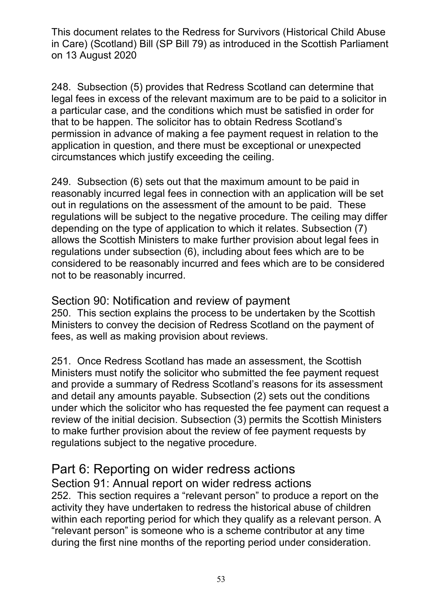248. Subsection (5) provides that Redress Scotland can determine that legal fees in excess of the relevant maximum are to be paid to a solicitor in a particular case, and the conditions which must be satisfied in order for that to be happen. The solicitor has to obtain Redress Scotland's permission in advance of making a fee payment request in relation to the application in question, and there must be exceptional or unexpected circumstances which justify exceeding the ceiling.

249. Subsection (6) sets out that the maximum amount to be paid in reasonably incurred legal fees in connection with an application will be set out in regulations on the assessment of the amount to be paid. These regulations will be subject to the negative procedure. The ceiling may differ depending on the type of application to which it relates. Subsection (7) allows the Scottish Ministers to make further provision about legal fees in regulations under subsection (6), including about fees which are to be considered to be reasonably incurred and fees which are to be considered not to be reasonably incurred.

Section 90: Notification and review of payment 250. This section explains the process to be undertaken by the Scottish Ministers to convey the decision of Redress Scotland on the payment of fees, as well as making provision about reviews.

251. Once Redress Scotland has made an assessment, the Scottish Ministers must notify the solicitor who submitted the fee payment request and provide a summary of Redress Scotland's reasons for its assessment and detail any amounts payable. Subsection (2) sets out the conditions under which the solicitor who has requested the fee payment can request a review of the initial decision. Subsection (3) permits the Scottish Ministers to make further provision about the review of fee payment requests by regulations subject to the negative procedure.

# Part 6: Reporting on wider redress actions

Section 91: Annual report on wider redress actions 252. This section requires a "relevant person" to produce a report on the activity they have undertaken to redress the historical abuse of children within each reporting period for which they qualify as a relevant person. A "relevant person" is someone who is a scheme contributor at any time during the first nine months of the reporting period under consideration.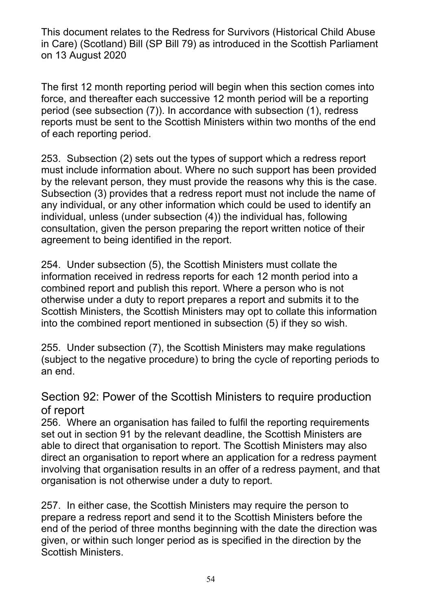The first 12 month reporting period will begin when this section comes into force, and thereafter each successive 12 month period will be a reporting period (see subsection (7)). In accordance with subsection (1), redress reports must be sent to the Scottish Ministers within two months of the end of each reporting period.

253. Subsection (2) sets out the types of support which a redress report must include information about. Where no such support has been provided by the relevant person, they must provide the reasons why this is the case. Subsection (3) provides that a redress report must not include the name of any individual, or any other information which could be used to identify an individual, unless (under subsection (4)) the individual has, following consultation, given the person preparing the report written notice of their agreement to being identified in the report.

254. Under subsection (5), the Scottish Ministers must collate the information received in redress reports for each 12 month period into a combined report and publish this report. Where a person who is not otherwise under a duty to report prepares a report and submits it to the Scottish Ministers, the Scottish Ministers may opt to collate this information into the combined report mentioned in subsection (5) if they so wish.

255. Under subsection (7), the Scottish Ministers may make regulations (subject to the negative procedure) to bring the cycle of reporting periods to an end.

### Section 92: Power of the Scottish Ministers to require production of report

256. Where an organisation has failed to fulfil the reporting requirements set out in section 91 by the relevant deadline, the Scottish Ministers are able to direct that organisation to report. The Scottish Ministers may also direct an organisation to report where an application for a redress payment involving that organisation results in an offer of a redress payment, and that organisation is not otherwise under a duty to report.

257. In either case, the Scottish Ministers may require the person to prepare a redress report and send it to the Scottish Ministers before the end of the period of three months beginning with the date the direction was given, or within such longer period as is specified in the direction by the Scottish Ministers.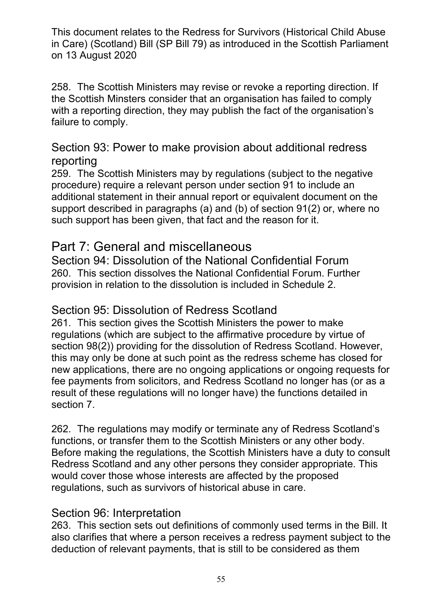258. The Scottish Ministers may revise or revoke a reporting direction. If the Scottish Minsters consider that an organisation has failed to comply with a reporting direction, they may publish the fact of the organisation's failure to comply.

#### Section 93: Power to make provision about additional redress reporting

259. The Scottish Ministers may by regulations (subject to the negative procedure) require a relevant person under section 91 to include an additional statement in their annual report or equivalent document on the support described in paragraphs (a) and (b) of section 91(2) or, where no such support has been given, that fact and the reason for it.

# Part 7: General and miscellaneous

Section 94: Dissolution of the National Confidential Forum 260. This section dissolves the National Confidential Forum. Further provision in relation to the dissolution is included in Schedule 2.

### Section 95: Dissolution of Redress Scotland

261. This section gives the Scottish Ministers the power to make regulations (which are subject to the affirmative procedure by virtue of section 98(2)) providing for the dissolution of Redress Scotland. However, this may only be done at such point as the redress scheme has closed for new applications, there are no ongoing applications or ongoing requests for fee payments from solicitors, and Redress Scotland no longer has (or as a result of these regulations will no longer have) the functions detailed in section 7.

262. The regulations may modify or terminate any of Redress Scotland's functions, or transfer them to the Scottish Ministers or any other body. Before making the regulations, the Scottish Ministers have a duty to consult Redress Scotland and any other persons they consider appropriate. This would cover those whose interests are affected by the proposed regulations, such as survivors of historical abuse in care.

### Section 96: Interpretation

263. This section sets out definitions of commonly used terms in the Bill. It also clarifies that where a person receives a redress payment subject to the deduction of relevant payments, that is still to be considered as them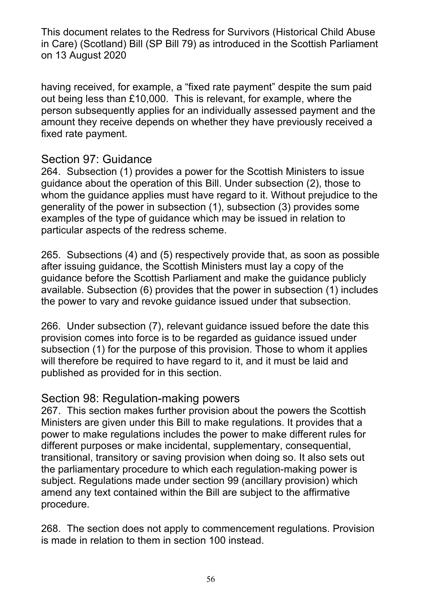having received, for example, a "fixed rate payment" despite the sum paid out being less than £10,000. This is relevant, for example, where the person subsequently applies for an individually assessed payment and the amount they receive depends on whether they have previously received a fixed rate payment.

### Section 97: Guidance

264. Subsection (1) provides a power for the Scottish Ministers to issue guidance about the operation of this Bill. Under subsection (2), those to whom the guidance applies must have regard to it. Without prejudice to the generality of the power in subsection (1), subsection (3) provides some examples of the type of guidance which may be issued in relation to particular aspects of the redress scheme.

265. Subsections (4) and (5) respectively provide that, as soon as possible after issuing guidance, the Scottish Ministers must lay a copy of the guidance before the Scottish Parliament and make the guidance publicly available. Subsection (6) provides that the power in subsection (1) includes the power to vary and revoke guidance issued under that subsection.

266. Under subsection (7), relevant guidance issued before the date this provision comes into force is to be regarded as guidance issued under subsection (1) for the purpose of this provision. Those to whom it applies will therefore be required to have regard to it, and it must be laid and published as provided for in this section.

### Section 98: Regulation-making powers

267. This section makes further provision about the powers the Scottish Ministers are given under this Bill to make regulations. It provides that a power to make regulations includes the power to make different rules for different purposes or make incidental, supplementary, consequential, transitional, transitory or saving provision when doing so. It also sets out the parliamentary procedure to which each regulation-making power is subject. Regulations made under section 99 (ancillary provision) which amend any text contained within the Bill are subject to the affirmative procedure.

268. The section does not apply to commencement regulations. Provision is made in relation to them in section 100 instead.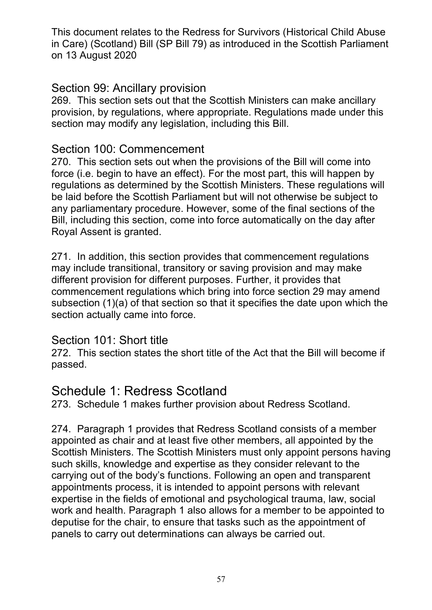#### Section 99: Ancillary provision

269. This section sets out that the Scottish Ministers can make ancillary provision, by regulations, where appropriate. Regulations made under this section may modify any legislation, including this Bill.

#### Section 100: Commencement

270. This section sets out when the provisions of the Bill will come into force (i.e. begin to have an effect). For the most part, this will happen by regulations as determined by the Scottish Ministers. These regulations will be laid before the Scottish Parliament but will not otherwise be subject to any parliamentary procedure. However, some of the final sections of the Bill, including this section, come into force automatically on the day after Royal Assent is granted.

271. In addition, this section provides that commencement regulations may include transitional, transitory or saving provision and may make different provision for different purposes. Further, it provides that commencement regulations which bring into force section 29 may amend subsection (1)(a) of that section so that it specifies the date upon which the section actually came into force.

#### Section 101: Short title

272. This section states the short title of the Act that the Bill will become if passed.

## Schedule 1: Redress Scotland

273. Schedule 1 makes further provision about Redress Scotland.

274. Paragraph 1 provides that Redress Scotland consists of a member appointed as chair and at least five other members, all appointed by the Scottish Ministers. The Scottish Ministers must only appoint persons having such skills, knowledge and expertise as they consider relevant to the carrying out of the body's functions. Following an open and transparent appointments process, it is intended to appoint persons with relevant expertise in the fields of emotional and psychological trauma, law, social work and health. Paragraph 1 also allows for a member to be appointed to deputise for the chair, to ensure that tasks such as the appointment of panels to carry out determinations can always be carried out.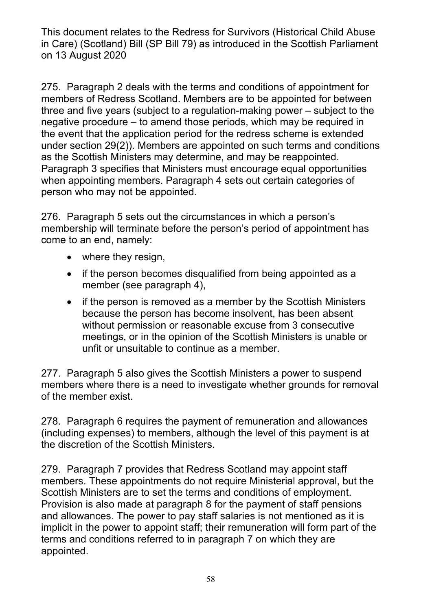275. Paragraph 2 deals with the terms and conditions of appointment for members of Redress Scotland. Members are to be appointed for between three and five years (subject to a regulation-making power – subject to the negative procedure – to amend those periods, which may be required in the event that the application period for the redress scheme is extended under section 29(2)). Members are appointed on such terms and conditions as the Scottish Ministers may determine, and may be reappointed. Paragraph 3 specifies that Ministers must encourage equal opportunities when appointing members. Paragraph 4 sets out certain categories of person who may not be appointed.

276. Paragraph 5 sets out the circumstances in which a person's membership will terminate before the person's period of appointment has come to an end, namely:

- where they resign,
- if the person becomes disqualified from being appointed as a member (see paragraph 4),
- if the person is removed as a member by the Scottish Ministers because the person has become insolvent, has been absent without permission or reasonable excuse from 3 consecutive meetings, or in the opinion of the Scottish Ministers is unable or unfit or unsuitable to continue as a member.

277. Paragraph 5 also gives the Scottish Ministers a power to suspend members where there is a need to investigate whether grounds for removal of the member exist.

278. Paragraph 6 requires the payment of remuneration and allowances (including expenses) to members, although the level of this payment is at the discretion of the Scottish Ministers.

279. Paragraph 7 provides that Redress Scotland may appoint staff members. These appointments do not require Ministerial approval, but the Scottish Ministers are to set the terms and conditions of employment. Provision is also made at paragraph 8 for the payment of staff pensions and allowances. The power to pay staff salaries is not mentioned as it is implicit in the power to appoint staff; their remuneration will form part of the terms and conditions referred to in paragraph 7 on which they are appointed.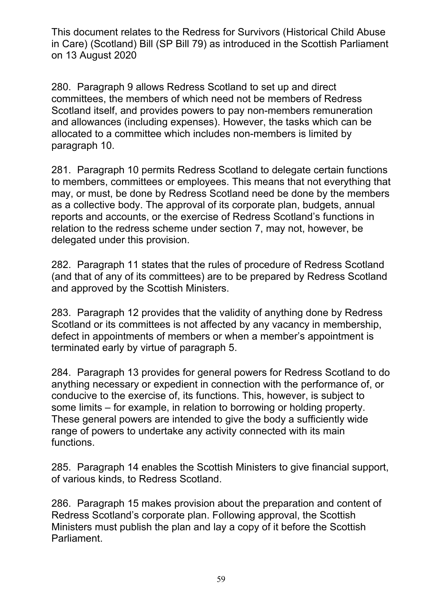280. Paragraph 9 allows Redress Scotland to set up and direct committees, the members of which need not be members of Redress Scotland itself, and provides powers to pay non-members remuneration and allowances (including expenses). However, the tasks which can be allocated to a committee which includes non-members is limited by paragraph 10.

281. Paragraph 10 permits Redress Scotland to delegate certain functions to members, committees or employees. This means that not everything that may, or must, be done by Redress Scotland need be done by the members as a collective body. The approval of its corporate plan, budgets, annual reports and accounts, or the exercise of Redress Scotland's functions in relation to the redress scheme under section 7, may not, however, be delegated under this provision.

282. Paragraph 11 states that the rules of procedure of Redress Scotland (and that of any of its committees) are to be prepared by Redress Scotland and approved by the Scottish Ministers.

283. Paragraph 12 provides that the validity of anything done by Redress Scotland or its committees is not affected by any vacancy in membership, defect in appointments of members or when a member's appointment is terminated early by virtue of paragraph 5.

284. Paragraph 13 provides for general powers for Redress Scotland to do anything necessary or expedient in connection with the performance of, or conducive to the exercise of, its functions. This, however, is subject to some limits – for example, in relation to borrowing or holding property. These general powers are intended to give the body a sufficiently wide range of powers to undertake any activity connected with its main functions.

285. Paragraph 14 enables the Scottish Ministers to give financial support, of various kinds, to Redress Scotland.

286. Paragraph 15 makes provision about the preparation and content of Redress Scotland's corporate plan. Following approval, the Scottish Ministers must publish the plan and lay a copy of it before the Scottish Parliament.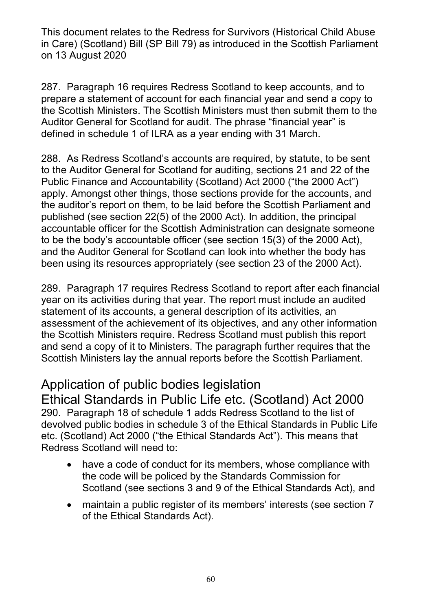287. Paragraph 16 requires Redress Scotland to keep accounts, and to prepare a statement of account for each financial year and send a copy to the Scottish Ministers. The Scottish Ministers must then submit them to the Auditor General for Scotland for audit. The phrase "financial year" is defined in schedule 1 of ILRA as a year ending with 31 March.

288. As Redress Scotland's accounts are required, by statute, to be sent to the Auditor General for Scotland for auditing, sections 21 and 22 of the Public Finance and Accountability (Scotland) Act 2000 ("the 2000 Act") apply. Amongst other things, those sections provide for the accounts, and the auditor's report on them, to be laid before the Scottish Parliament and published (see section 22(5) of the 2000 Act). In addition, the principal accountable officer for the Scottish Administration can designate someone to be the body's accountable officer (see section 15(3) of the 2000 Act), and the Auditor General for Scotland can look into whether the body has been using its resources appropriately (see section 23 of the 2000 Act).

289. Paragraph 17 requires Redress Scotland to report after each financial year on its activities during that year. The report must include an audited statement of its accounts, a general description of its activities, an assessment of the achievement of its objectives, and any other information the Scottish Ministers require. Redress Scotland must publish this report and send a copy of it to Ministers. The paragraph further requires that the Scottish Ministers lay the annual reports before the Scottish Parliament.

# Application of public bodies legislation

Ethical Standards in Public Life etc. (Scotland) Act 2000 290. Paragraph 18 of schedule 1 adds Redress Scotland to the list of devolved public bodies in schedule 3 of the Ethical Standards in Public Life etc. (Scotland) Act 2000 ("the Ethical Standards Act"). This means that Redress Scotland will need to:

- have a code of conduct for its members, whose compliance with the code will be policed by the Standards Commission for Scotland (see sections 3 and 9 of the Ethical Standards Act), and
- maintain a public register of its members' interests (see section 7 of the Ethical Standards Act).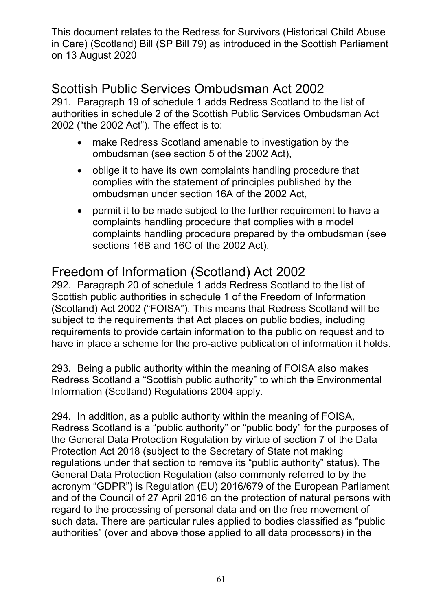# Scottish Public Services Ombudsman Act 2002

291. Paragraph 19 of schedule 1 adds Redress Scotland to the list of authorities in schedule 2 of the Scottish Public Services Ombudsman Act 2002 ("the 2002 Act"). The effect is to:

- make Redress Scotland amenable to investigation by the ombudsman (see section 5 of the 2002 Act),
- oblige it to have its own complaints handling procedure that complies with the statement of principles published by the ombudsman under section 16A of the 2002 Act,
- permit it to be made subject to the further requirement to have a complaints handling procedure that complies with a model complaints handling procedure prepared by the ombudsman (see sections 16B and 16C of the 2002 Act).

# Freedom of Information (Scotland) Act 2002

292. Paragraph 20 of schedule 1 adds Redress Scotland to the list of Scottish public authorities in schedule 1 of the Freedom of Information (Scotland) Act 2002 ("FOISA"). This means that Redress Scotland will be subject to the requirements that Act places on public bodies, including requirements to provide certain information to the public on request and to have in place a scheme for the pro-active publication of information it holds.

293. Being a public authority within the meaning of FOISA also makes Redress Scotland a "Scottish public authority" to which the Environmental Information (Scotland) Regulations 2004 apply.

294. In addition, as a public authority within the meaning of FOISA, Redress Scotland is a "public authority" or "public body" for the purposes of the General Data Protection Regulation by virtue of section 7 of the Data Protection Act 2018 (subject to the Secretary of State not making regulations under that section to remove its "public authority" status). The General Data Protection Regulation (also commonly referred to by the acronym "GDPR") is Regulation (EU) 2016/679 of the European Parliament and of the Council of 27 April 2016 on the protection of natural persons with regard to the processing of personal data and on the free movement of such data. There are particular rules applied to bodies classified as "public authorities" (over and above those applied to all data processors) in the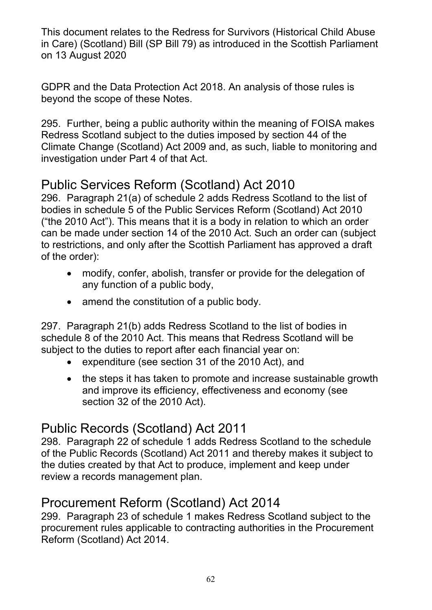GDPR and the Data Protection Act 2018. An analysis of those rules is beyond the scope of these Notes.

295. Further, being a public authority within the meaning of FOISA makes Redress Scotland subject to the duties imposed by section 44 of the Climate Change (Scotland) Act 2009 and, as such, liable to monitoring and investigation under Part 4 of that Act.

# Public Services Reform (Scotland) Act 2010

296. Paragraph 21(a) of schedule 2 adds Redress Scotland to the list of bodies in schedule 5 of the Public Services Reform (Scotland) Act 2010 ("the 2010 Act"). This means that it is a body in relation to which an order can be made under section 14 of the 2010 Act. Such an order can (subject to restrictions, and only after the Scottish Parliament has approved a draft of the order):

- modify, confer, abolish, transfer or provide for the delegation of any function of a public body,
- amend the constitution of a public body.

297. Paragraph 21(b) adds Redress Scotland to the list of bodies in schedule 8 of the 2010 Act. This means that Redress Scotland will be subject to the duties to report after each financial year on:

- expenditure (see section 31 of the 2010 Act), and
- the steps it has taken to promote and increase sustainable growth and improve its efficiency, effectiveness and economy (see section 32 of the 2010 Act).

# Public Records (Scotland) Act 2011

298. Paragraph 22 of schedule 1 adds Redress Scotland to the schedule of the Public Records (Scotland) Act 2011 and thereby makes it subject to the duties created by that Act to produce, implement and keep under review a records management plan.

# Procurement Reform (Scotland) Act 2014

299. Paragraph 23 of schedule 1 makes Redress Scotland subject to the procurement rules applicable to contracting authorities in the Procurement Reform (Scotland) Act 2014.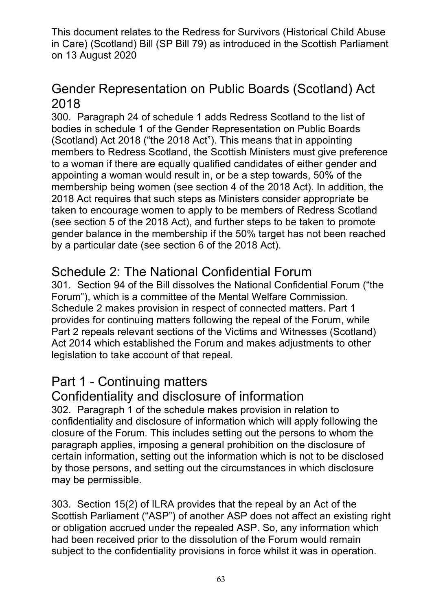# Gender Representation on Public Boards (Scotland) Act 2018

300. Paragraph 24 of schedule 1 adds Redress Scotland to the list of bodies in schedule 1 of the Gender Representation on Public Boards (Scotland) Act 2018 ("the 2018 Act"). This means that in appointing members to Redress Scotland, the Scottish Ministers must give preference to a woman if there are equally qualified candidates of either gender and appointing a woman would result in, or be a step towards, 50% of the membership being women (see section 4 of the 2018 Act). In addition, the 2018 Act requires that such steps as Ministers consider appropriate be taken to encourage women to apply to be members of Redress Scotland (see section 5 of the 2018 Act), and further steps to be taken to promote gender balance in the membership if the 50% target has not been reached by a particular date (see section 6 of the 2018 Act).

# Schedule 2: The National Confidential Forum

301. Section 94 of the Bill dissolves the National Confidential Forum ("the Forum"), which is a committee of the Mental Welfare Commission. Schedule 2 makes provision in respect of connected matters. Part 1 provides for continuing matters following the repeal of the Forum, while Part 2 repeals relevant sections of the Victims and Witnesses (Scotland) Act 2014 which established the Forum and makes adjustments to other legislation to take account of that repeal.

# Part 1 - Continuing matters

# Confidentiality and disclosure of information

302. Paragraph 1 of the schedule makes provision in relation to confidentiality and disclosure of information which will apply following the closure of the Forum. This includes setting out the persons to whom the paragraph applies, imposing a general prohibition on the disclosure of certain information, setting out the information which is not to be disclosed by those persons, and setting out the circumstances in which disclosure may be permissible.

303. Section 15(2) of ILRA provides that the repeal by an Act of the Scottish Parliament ("ASP") of another ASP does not affect an existing right or obligation accrued under the repealed ASP. So, any information which had been received prior to the dissolution of the Forum would remain subject to the confidentiality provisions in force whilst it was in operation.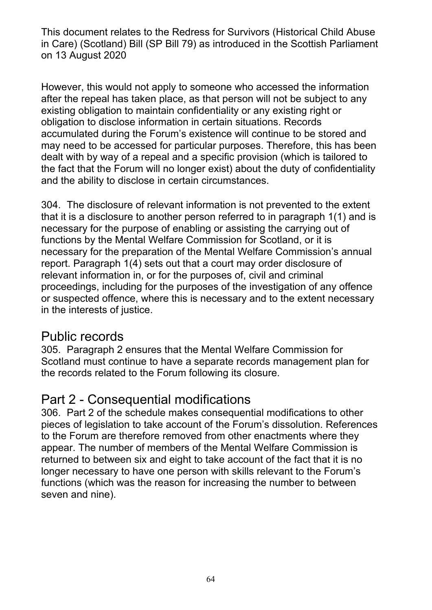However, this would not apply to someone who accessed the information after the repeal has taken place, as that person will not be subject to any existing obligation to maintain confidentiality or any existing right or obligation to disclose information in certain situations. Records accumulated during the Forum's existence will continue to be stored and may need to be accessed for particular purposes. Therefore, this has been dealt with by way of a repeal and a specific provision (which is tailored to the fact that the Forum will no longer exist) about the duty of confidentiality and the ability to disclose in certain circumstances.

304. The disclosure of relevant information is not prevented to the extent that it is a disclosure to another person referred to in paragraph 1(1) and is necessary for the purpose of enabling or assisting the carrying out of functions by the Mental Welfare Commission for Scotland, or it is necessary for the preparation of the Mental Welfare Commission's annual report. Paragraph 1(4) sets out that a court may order disclosure of relevant information in, or for the purposes of, civil and criminal proceedings, including for the purposes of the investigation of any offence or suspected offence, where this is necessary and to the extent necessary in the interests of justice.

# Public records

305. Paragraph 2 ensures that the Mental Welfare Commission for Scotland must continue to have a separate records management plan for the records related to the Forum following its closure.

# Part 2 - Consequential modifications

306. Part 2 of the schedule makes consequential modifications to other pieces of legislation to take account of the Forum's dissolution. References to the Forum are therefore removed from other enactments where they appear. The number of members of the Mental Welfare Commission is returned to between six and eight to take account of the fact that it is no longer necessary to have one person with skills relevant to the Forum's functions (which was the reason for increasing the number to between seven and nine).